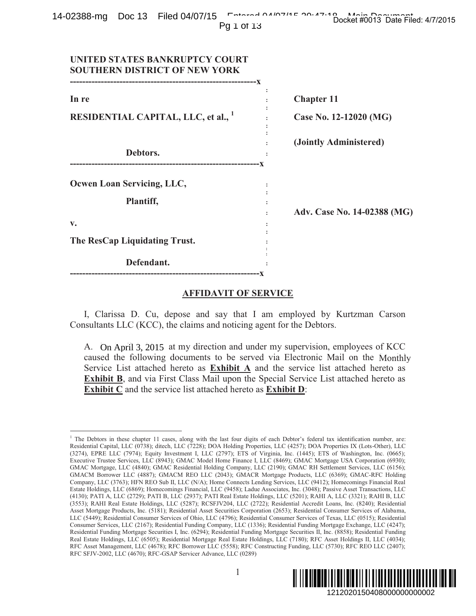|  |            | Docket #0013 Date Filed: 4/7/2015 |
|--|------------|-----------------------------------|
|  | Pq 1 of 13 |                                   |

| OZJOO-IIIY DOUIJ FIIEU V4/U7TJ<br>Pg 1 of 13                                                                                                                                                                                                                                                                                                                                                                                                                                                                                                                                                                                                                                                                                                                                                                                                                                                                                                                                                                                                                                                                                                                                                                                                                                                                                                                                                                                                                                                                                                                                                                                                                                                                                                                                                                                                                                                                                                                                                                                                                                                                                                              | Docket #0013 Date Filed: 4/7/2015 |
|-----------------------------------------------------------------------------------------------------------------------------------------------------------------------------------------------------------------------------------------------------------------------------------------------------------------------------------------------------------------------------------------------------------------------------------------------------------------------------------------------------------------------------------------------------------------------------------------------------------------------------------------------------------------------------------------------------------------------------------------------------------------------------------------------------------------------------------------------------------------------------------------------------------------------------------------------------------------------------------------------------------------------------------------------------------------------------------------------------------------------------------------------------------------------------------------------------------------------------------------------------------------------------------------------------------------------------------------------------------------------------------------------------------------------------------------------------------------------------------------------------------------------------------------------------------------------------------------------------------------------------------------------------------------------------------------------------------------------------------------------------------------------------------------------------------------------------------------------------------------------------------------------------------------------------------------------------------------------------------------------------------------------------------------------------------------------------------------------------------------------------------------------------------|-----------------------------------|
| UNITED STATES BANKRUPTCY COURT<br><b>SOUTHERN DISTRICT OF NEW YORK</b>                                                                                                                                                                                                                                                                                                                                                                                                                                                                                                                                                                                                                                                                                                                                                                                                                                                                                                                                                                                                                                                                                                                                                                                                                                                                                                                                                                                                                                                                                                                                                                                                                                                                                                                                                                                                                                                                                                                                                                                                                                                                                    |                                   |
| In re                                                                                                                                                                                                                                                                                                                                                                                                                                                                                                                                                                                                                                                                                                                                                                                                                                                                                                                                                                                                                                                                                                                                                                                                                                                                                                                                                                                                                                                                                                                                                                                                                                                                                                                                                                                                                                                                                                                                                                                                                                                                                                                                                     | <b>Chapter 11</b>                 |
| <b>RESIDENTIAL CAPITAL, LLC, et al., 1</b>                                                                                                                                                                                                                                                                                                                                                                                                                                                                                                                                                                                                                                                                                                                                                                                                                                                                                                                                                                                                                                                                                                                                                                                                                                                                                                                                                                                                                                                                                                                                                                                                                                                                                                                                                                                                                                                                                                                                                                                                                                                                                                                | Case No. 12-12020 (MG)            |
| Debtors.                                                                                                                                                                                                                                                                                                                                                                                                                                                                                                                                                                                                                                                                                                                                                                                                                                                                                                                                                                                                                                                                                                                                                                                                                                                                                                                                                                                                                                                                                                                                                                                                                                                                                                                                                                                                                                                                                                                                                                                                                                                                                                                                                  | (Jointly Administered)            |
| Ocwen Loan Servicing, LLC,                                                                                                                                                                                                                                                                                                                                                                                                                                                                                                                                                                                                                                                                                                                                                                                                                                                                                                                                                                                                                                                                                                                                                                                                                                                                                                                                                                                                                                                                                                                                                                                                                                                                                                                                                                                                                                                                                                                                                                                                                                                                                                                                |                                   |
| Plantiff,                                                                                                                                                                                                                                                                                                                                                                                                                                                                                                                                                                                                                                                                                                                                                                                                                                                                                                                                                                                                                                                                                                                                                                                                                                                                                                                                                                                                                                                                                                                                                                                                                                                                                                                                                                                                                                                                                                                                                                                                                                                                                                                                                 | Adv. Case No. 14-02388 (MG)       |
| V.<br>The ResCap Liquidating Trust.                                                                                                                                                                                                                                                                                                                                                                                                                                                                                                                                                                                                                                                                                                                                                                                                                                                                                                                                                                                                                                                                                                                                                                                                                                                                                                                                                                                                                                                                                                                                                                                                                                                                                                                                                                                                                                                                                                                                                                                                                                                                                                                       |                                   |
| Defendant.                                                                                                                                                                                                                                                                                                                                                                                                                                                                                                                                                                                                                                                                                                                                                                                                                                                                                                                                                                                                                                                                                                                                                                                                                                                                                                                                                                                                                                                                                                                                                                                                                                                                                                                                                                                                                                                                                                                                                                                                                                                                                                                                                |                                   |
| <b>AFFIDAVIT OF SERVICE</b>                                                                                                                                                                                                                                                                                                                                                                                                                                                                                                                                                                                                                                                                                                                                                                                                                                                                                                                                                                                                                                                                                                                                                                                                                                                                                                                                                                                                                                                                                                                                                                                                                                                                                                                                                                                                                                                                                                                                                                                                                                                                                                                               |                                   |
| I, Clarissa D. Cu, depose and say that I am employed by Kurtzman Carson<br>Consultants LLC (KCC), the claims and noticing agent for the Debtors.                                                                                                                                                                                                                                                                                                                                                                                                                                                                                                                                                                                                                                                                                                                                                                                                                                                                                                                                                                                                                                                                                                                                                                                                                                                                                                                                                                                                                                                                                                                                                                                                                                                                                                                                                                                                                                                                                                                                                                                                          |                                   |
| A. On April 3, 2015 at my direction and under my supervision, employees of KCC<br>caused the following documents to be served via Electronic Mail on the Monthly<br>Service List attached hereto as <b>Exhibit A</b> and the service list attached hereto as<br><b>Exhibit B, and via First Class Mail upon the Special Service List attached hereto as</b><br><b>Exhibit C</b> and the service list attached hereto as <b>Exhibit D</b> :                                                                                                                                                                                                                                                                                                                                                                                                                                                                                                                                                                                                                                                                                                                                                                                                                                                                                                                                                                                                                                                                                                                                                                                                                                                                                                                                                                                                                                                                                                                                                                                                                                                                                                                |                                   |
| <sup>1</sup> The Debtors in these chapter 11 cases, along with the last four digits of each Debtor's federal tax identification number, are:<br>Residential Capital, LLC (0738); ditech, LLC (7228); DOA Holding Properties, LLC (4257); DOA Properties IX (Lots-Other), LLC<br>(3274), EPRE LLC (7974); Equity Investment I, LLC (2797); ETS of Virginia, Inc. (1445); ETS of Washington, Inc. (0665);<br>Executive Trustee Services, LLC (8943); GMAC Model Home Finance I, LLC (8469); GMAC Mortgage USA Corporation (6930);<br>GMAC Mortgage, LLC (4840); GMAC Residential Holding Company, LLC (2190); GMAC RH Settlement Services, LLC (6156);<br>GMACM Borrower LLC (4887); GMACM REO LLC (2043); GMACR Mortgage Products, LLC (6369); GMAC-RFC Holding<br>Company, LLC (3763); HFN REO Sub II, LLC (N/A); Home Connects Lending Services, LLC (9412); Homecomings Financial Real<br>Estate Holdings, LLC (6869); Homecomings Financial, LLC (9458); Ladue Associates, Inc. (3048); Passive Asset Transactions, LLC<br>(4130); PATI A, LLC (2729); PATI B, LLC (2937); PATI Real Estate Holdings, LLC (5201); RAHI A, LLC (3321); RAHI B, LLC<br>(3553); RAHI Real Estate Holdings, LLC (5287); RCSFJV204, LLC (2722); Residential Accredit Loans, Inc. (8240); Residential<br>Asset Mortgage Products, Inc. (5181); Residential Asset Securities Corporation (2653); Residential Consumer Services of Alabama,<br>LLC (5449); Residential Consumer Services of Ohio, LLC (4796); Residential Consumer Services of Texas, LLC (0515); Residential<br>Consumer Services, LLC (2167); Residential Funding Company, LLC (1336); Residential Funding Mortgage Exchange, LLC (4247);<br>Residential Funding Mortgage Securities I, Inc. (6294); Residential Funding Mortgage Securities II, Inc. (8858); Residential Funding<br>Real Estate Holdings, LLC (6505); Residential Mortgage Real Estate Holdings, LLC (7180); RFC Asset Holdings II, LLC (4034);<br>RFC Asset Management, LLC (4678); RFC Borrower LLC (5558); RFC Constructing Funding, LLC (5730); RFC REO LLC (2407);<br>RFC SFJV-2002, LLC (4670); RFC-GSAP Servicer Advance, LLC (0289) |                                   |
| $\mathbf{1}$                                                                                                                                                                                                                                                                                                                                                                                                                                                                                                                                                                                                                                                                                                                                                                                                                                                                                                                                                                                                                                                                                                                                                                                                                                                                                                                                                                                                                                                                                                                                                                                                                                                                                                                                                                                                                                                                                                                                                                                                                                                                                                                                              | 1212020150408000000000002         |

## **AFFIDAVIT OF SERVICE**

 $\overline{a}$ <sup>1</sup> The Debtors in these chapter 11 cases, along with the last four digits of each Debtor's federal tax identification number, are: Residential Capital, LLC (0738); ditech, LLC (7228); DOA Holding Properties, LLC (4257); DOA Properties IX (Lots-Other), LLC (3274), EPRE LLC (7974); Equity Investment I, LLC (2797); ETS of Virginia, Inc. (1445); ETS of Washington, Inc. (0665); Executive Trustee Services, LLC (8943); GMAC Model Home Finance I, LLC (8469); GMAC Mortgage USA Corporation (6930); GMAC Mortgage, LLC (4840); GMAC Residential Holding Company, LLC (2190); GMAC RH Settlement Services, LLC (6156); GMACM Borrower LLC (4887); GMACM REO LLC (2043); GMACR Mortgage Products, LLC (6369); GMAC-RFC Holding Company, LLC (3763); HFN REO Sub II, LLC (N/A); Home Connects Lending Services, LLC (9412); Homecomings Financial Real Estate Holdings, LLC (6869); Homecomings Financial, LLC (9458); Ladue Associates, Inc. (3048); Passive Asset Transactions, LLC (4130); PATI A, LLC (2729); PATI B, LLC (2937); PATI Real Estate Holdings, LLC (5201); RAHI A, LLC (3321); RAHI B, LLC (3553); RAHI Real Estate Holdings, LLC (5287); RCSFJV204, LLC (2722); Residential Accredit Loans, Inc. (8240); Residential Asset Mortgage Products, Inc. (5181); Residential Asset Securities Corporation (2653); Residential Consumer Services of Alabama, LLC (5449); Residential Consumer Services of Ohio, LLC (4796); Residential Consumer Services of Texas, LLC (0515); Residential Consumer Services, LLC (2167); Residential Funding Company, LLC (1336); Residential Funding Mortgage Exchange, LLC (4247); Residential Funding Mortgage Securities I, Inc. (6294); Residential Funding Mortgage Securities II, Inc. (8858); Residential Funding Real Estate Holdings, LLC (6505); Residential Mortgage Real Estate Holdings, LLC (7180); RFC Asset Holdings II, LLC (4034); RFC Asset Management, LLC (4678); RFC Borrower LLC (5558); RFC Constructing Funding, LLC (5730); RFC REO LLC (2407); RFC SFJV-2002, LLC (4670); RFC-GSAP Servicer Advance, LLC (0289)

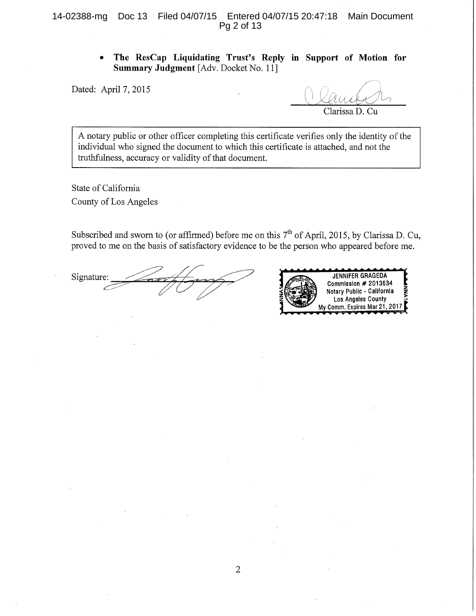The ResCap Liquidating Trust's Reply in Support of Motion for  $\bullet$ Summary Judgment [Adv. Docket No. 11]

Dated: April 7, 2015

Clarissa D. Cu

A notary public or other officer completing this certificate verifies only the identity of the individual who signed the document to which this certificate is attached, and not the truthfulness, accuracy or validity of that document.

State of California County of Los Angeles

Subscribed and sworn to (or affirmed) before me on this 7<sup>th</sup> of April, 2015, by Clarissa D. Cu, proved to me on the basis of satisfactory evidence to be the person who appeared before me.

Signature:

**JENNIFER GRAGEDA** Commission # 2013634 Notary Public - California Los Angeles County My Comm. Expires Mar 21, 2017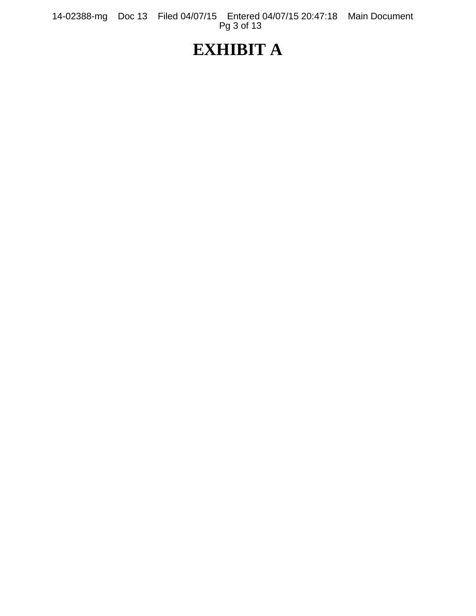14-02388-mg Doc 13 Filed 04/07/15 Entered 04/07/15 20:47:18 Main Document Pg 3 of 13

# **EXHIBIT A**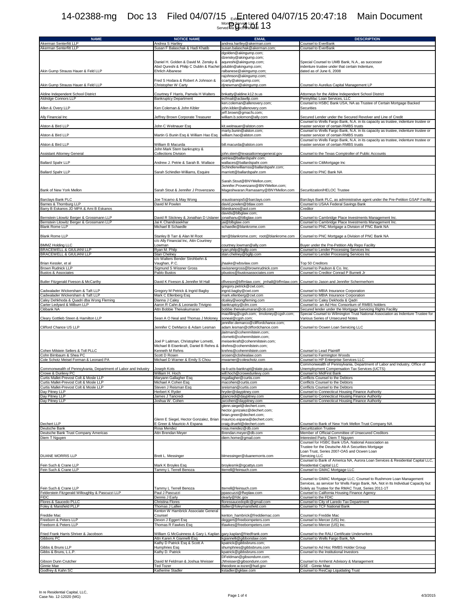## Exhibit A TLCT<br>Monthly Service List<br>Served via Electronic Mail 14-02388-mg Doc 13 Filed 04/07/15 <sub>Ext</sub>Entered 04/07/15 20:47:18 Main Document Nonth Service Light 13

| <b>NAME</b>                                                                      | <b>NOTICE NAME</b>                                                              | <b>EMAIL</b>                                                      | <b>DESCRIPTION</b>                                                                                                                         |
|----------------------------------------------------------------------------------|---------------------------------------------------------------------------------|-------------------------------------------------------------------|--------------------------------------------------------------------------------------------------------------------------------------------|
| Akerman Senterfitt LLP                                                           | Andrea S Hartley                                                                | andrea.hartley@akerman.com                                        | Counsel to EverBank                                                                                                                        |
| Akerman Senterfitt LLP                                                           | Susan F Balaschak & Hadi Khatib                                                 | susan.balaschak@akerman.com;<br>dgolden@akingump.com;             | Counsel to EverBank                                                                                                                        |
|                                                                                  |                                                                                 | dzensky@akingump.com;                                             |                                                                                                                                            |
|                                                                                  | Daniel H. Golden & David M. Zensky &<br>Abid Qureshi & Philip C Dublin & Rachel | aqureshi@akingump.com;<br>pdublin@akingump.com;                   | Special Counsel to UMB Bank, N.A., as successor<br>indenture trustee under that certain Indenture,                                         |
| Akin Gump Strauss Hauer & Feld LLP                                               | Ehrlich Albanese                                                                | ralbanese@akingump.com;                                           | dated as of June 6, 2008                                                                                                                   |
|                                                                                  |                                                                                 | rajohnson@akingump.com;                                           |                                                                                                                                            |
| Akin Gump Strauss Hauer & Feld LLP                                               | Fred S Hodara & Robert A Johnson &<br>Christopher W Carty                       | ccarty@akingump.com;<br>djnewman@akingump.com                     | Counsel to Aurelius Capital Management LP                                                                                                  |
|                                                                                  |                                                                                 |                                                                   |                                                                                                                                            |
| Aldine Independent School District<br>Aldridge Connors LLP                       | Courtney F Harris, Pamela H Walters<br><b>Bankruptcy Department</b>             | bnkatty@aldine.k12.tx.us<br>ecfmail@aclawllp.com                  | Attorneys for the Aldine Independent School District<br>PennyMac Loan Services, LLC                                                        |
|                                                                                  |                                                                                 | ken.coleman@allenovery.com;                                       | Counsel to HSBC Bank USA, NA as Trustee of Certain Mortgage Backed                                                                         |
| Allen & Overy LLP                                                                | Ken Coleman & John Kibler                                                       | john.kibler@allenovery.com<br>jeff.brown@gmacfs.com;              | Securities                                                                                                                                 |
| Ally Financial Inc                                                               | Jeffrey Brown Corporate Treasurer                                               | william.b.solomon@ally.com                                        | Secured Lender under the Secured Revolver and Line of Credit                                                                               |
| Alston & Bird LLP                                                                | John C Weitnauer Esq                                                            | kit.weitnauer@alston.com                                          | Counsel to Wells Fargo Bank, N.A. in its capacity as trustee, indenture trustee or<br>master servicer of certain RMBS trusts               |
|                                                                                  |                                                                                 | marty.bunin@alston.com;                                           | Counsel to Wells Fargo Bank, N.A. in its capacity as trustee, indenture trustee or                                                         |
| Alston & Bird LLP                                                                | Martin G Bunin Esq & William Hao Esq                                            | william.hao@alston.com                                            | master servicer of certain RMBS trusts<br>Counsel to Wells Fargo Bank, N.A. in its capacity as trustee, indenture trustee or               |
| Alston & Bird LLP                                                                | William B Macurda                                                               | bill.macurda@alston.com                                           | master servicer of certain RMBS trusts                                                                                                     |
|                                                                                  | John Mark Stern bankruptcy &<br><b>Collections Division</b>                     | ohn.stern@texasattorneygeneral.gov                                | Counsel to the Texas Comptroller of Public Accounts                                                                                        |
| <b>Assistant Attorney General</b>                                                |                                                                                 | petriea@ballardspahr.com;                                         |                                                                                                                                            |
| <b>Ballard Spahr LLP</b>                                                         | Andrew J. Petrie & Sarah B. Wallace                                             | wallaces@ballardspahr.com                                         | Counsel to CitiMortgage Inc                                                                                                                |
| <b>Ballard Spahr LLP</b>                                                         | Sarah Schindler-Williams, Esquire                                               | Schindlerwilliamss@ballardspahr.com;<br>marriott@ballardspahr.com | Counsel to PNC Bank NA                                                                                                                     |
|                                                                                  |                                                                                 |                                                                   |                                                                                                                                            |
|                                                                                  |                                                                                 | Sarah.Stout@BNYMellon.com;<br>Jennifer.Provenzano@BNYMellon.com;  |                                                                                                                                            |
| Bank of New York Mellon                                                          | Sarah Stout & Jennifer J Provenzano                                             | Mageshwaran.Ramasamy@BNYMellon.com                                | Securitization/HELOC Trustee                                                                                                               |
|                                                                                  |                                                                                 |                                                                   |                                                                                                                                            |
| Barclays Bank PLC<br>Barnes & Thornburg LLP                                      | Joe Tricamo & May Wong<br>David M Powlen                                        | xrausloanops5@barclays.com<br>david.powlen@btlaw.com              | Barclays Bank PLC, as administrative agent under the Pre-Petition GSAP Facility<br>Counsel to USAA Federal Savings Bank                    |
| Barry B Eskanos JD MPA & Ami B Eskanos                                           |                                                                                 | bbeskanos@aol.com                                                 | Creditor                                                                                                                                   |
| Bernstein Litowitz Berger & Grossmann LLP                                        | David R Stickney & Jonathan D Uslaner                                           | davids@blbglaw.com:<br>ionathanu@blbglaw.com                      | Counsel to Cambridge Place Investments Management Inc.                                                                                     |
| Bernstein Litowitz Berger & Grossmann LLP                                        | Jai K Chandrasekhar                                                             | jai@blbglaw.com                                                   | Counsel to Cambridge Place Investments Management Inc.                                                                                     |
| <b>Blank Rome LLP</b>                                                            | Michael B Schaedle                                                              | schaedle@blankrome.com                                            | Counsel to PNC Mortgage a Division of PNC Bank NA                                                                                          |
| <b>Blank Rome LLP</b>                                                            | Stanley B Tarr & Alan M Root                                                    | tarr@blankrome.com; root@blankrome.com                            | Counsel to PNC Mortgage a Division of PNC Bank NA                                                                                          |
|                                                                                  | c/o Ally Financial Inc, Attn Courtney<br>Lowman                                 |                                                                   | Buyer under the Pre-Petition Ally Repo Facility                                                                                            |
| <b>BMMZ Holding LLC</b><br>BRACEWELL & GIULIANI LLP                              | Ryan M. Philp                                                                   | courtney.lowman@ally.com<br>ryan.philp@bgllp.com                  | Counsel to Lender Processing Services Inc                                                                                                  |
| BRACEWELL & GIULIANI LLP                                                         | Stan Chelney                                                                    | stan.chelney@bgllp.com                                            | Counsel to Lender Processing Services Inc                                                                                                  |
| Brian Kessler, et al                                                             | c/o Walters Bender Strohbehn &<br>Vaughan, P.C.                                 | jhaake@wbsvlaw.com                                                | Top 50 Creditors                                                                                                                           |
| <b>Brown Rudnick LLP</b>                                                         | Sigmund S Wissner Gross                                                         | swissnergross@brownrudnick.com                                    | Counsel to Paulson & Co. Inc.                                                                                                              |
| <b>Bustos &amp; Associates</b>                                                   | Pablo Bustos                                                                    | pbustos@bustosassociates.com                                      | Counsel to Creditor Conrad P Burnett Jr                                                                                                    |
| Butler Fitzgerald Fiveson & McCarthy                                             | David K Fiveson & Jennifer M Hall                                               | dfiveson@bffmlaw.com; jmhall@bffmlaw.com                          | Counsel to Jason and Jennifer Schermerhorn                                                                                                 |
|                                                                                  |                                                                                 | gregory.petrick@cwt.com;                                          |                                                                                                                                            |
| Cadwalader Wickersham & Taft LLP<br>Cadwalader Wickersham & Taft LLP             | Gregory M Petrick & Ingrid Bagby<br>Mark C Ellenberg Esq                        | ingrid.bagby@cwt.com<br>mark.ellenberg@cwt.com                    | Counsel to MBIA Insurance Corporation<br>Counsel to MBIA Insurance Corporation                                                             |
| Caley Dehkhoda & Quadri dba Wong Fleming                                         | Dianna J Caley                                                                  | dcaley@wongfleming.com                                            | Counsel to Caley Dekhoda & Qadri                                                                                                           |
| Carter Ledyard & Milburn LLP<br>Citibank NA                                      | Aaron R Cahn & Leonardo Trivigno<br>Attn Bobbie Theivakumaran                   | bankruptcy@clm.com<br>bobbie.theivakumaran@citi.com               | Counsel to an Ad Hoc Consortium of RMBS holders<br>Secured lender under the Mortgage Servicing Rights Facility                             |
|                                                                                  |                                                                                 | maofiling@cgsh.com; tmoloney@cgsh.com;                            | Special Counsel to Wilmington Trust National Association as Indenture Trustee for                                                          |
| Cleary Gottlieb Steen & Hamilton LLP                                             | Sean A O Neal and Thomas J Moloney                                              | soneal@cgsh.com;<br>jennifer.demarco@cliffordchance.com;          | Various Series of Unsecured Notes                                                                                                          |
| Clifford Chance US LLP                                                           | Jennifer C DeMarco & Adam Lesman                                                | adam.lesman@cliffordchance.com                                    | Counsel to Ocwen Loan Servicing LLC                                                                                                        |
|                                                                                  |                                                                                 | jlaitman@cohenmilstein.com;<br>clometti@cohenmilstein.com;        |                                                                                                                                            |
|                                                                                  | Joel P Laitman, Christopher Lometti,                                            | meisenkraft@cohenmilstein.com:                                    |                                                                                                                                            |
|                                                                                  | Michael B Eisenkraft, Daniel B Rehns &<br>Kenneth M Rehns                       | drehns@cohenmilstein.com;                                         |                                                                                                                                            |
| Cohen Milstein Sellers & Toll PLLC<br>Cohn Birnbaum & Shea PC                    | Scott D Rosen                                                                   | krehns@cohenmilstein.com<br>srosen@cbshealaw.com                  | Counsel to Lead Plaintiff<br>Counsel to Farmington Woods                                                                                   |
| Cole Schotz Meisel Forman & Leonard PA                                           | Michael D Warner & Emily S Chou                                                 | mwarner@coleschotz.com                                            | Counsel to HP Enterprise Services LLC                                                                                                      |
| Commonwealth of Pennsylvania, Department of Labor and Industry                   | Joseph Kots                                                                     | ra-li-ucts-bankrupt@state.pa.us                                   | Commonwealth of Pennsylvania, Department of Labor and Industry, Office of<br>Unemployment Compensation Tax Services (UCTS)                 |
| Crowe & Dunlevy PC                                                               | William H. Hoch                                                                 | will.hoch@crowedunlevy.com                                        | Counsel to MidFirst Bank                                                                                                                   |
| Curtis Mallet-Prevost Colt & Mosle LLP<br>Curtis Mallet-Prevost Colt & Mosle LLP | Maryann Gallagher Esq<br>Michael A Cohen Esq                                    | mgallagher@curtis.com<br>macohen@curtis.com                       | Conflicts Counsel to the Debtors<br>Conflicts Counsel to the Debtors                                                                       |
| Curtis Mallet-Prevost Colt & Mosle LLP                                           | Steven J Reisman Esq                                                            | sreisman@curtis.com                                               | Conflicts Counsel to the Debtors                                                                                                           |
| Day Pitney LLP<br>Day Pitney LLP                                                 | Herbert K Ryder<br>James J Tancredi                                             | hryder@daypitney.com<br>ijtancredi@daypitney.com                  | Counsel to Connecticut Housing Finance Authority<br>Counsel to Connecticut Housing Finance Authority                                       |
| Day Pitney LLP                                                                   | Joshua W. Cohen                                                                 | wcohen@daypitney.com                                              | Counsel to Connecticut Housing Finance Authority                                                                                           |
|                                                                                  |                                                                                 | glenn.siegel@dechert.com;                                         |                                                                                                                                            |
|                                                                                  |                                                                                 | hector.gonzalez@dechert.com;<br>brian.greer@dechert.com;          |                                                                                                                                            |
|                                                                                  | Glenn E Siegel, Hector Gonzalez, Brian                                          | mauricio.espana@dechert.com;                                      |                                                                                                                                            |
| Dechert LLP<br>Deutsche Bank                                                     | E Greer & Mauricio A Espana<br>Rosa Mendez                                      | craig.druehl@dechert.com<br>rosa.mendez@db.com                    | Counsel to Bank of New York Mellon Trust Company NA<br>Securitization Trustee                                                              |
| Deutsche Bank Trust Company Americas                                             | Attn Brendan Meyer                                                              | Brendan.meyer@db.com                                              | Member of Official Committee of Unsecured Creditors                                                                                        |
| Diem T Nguyen                                                                    |                                                                                 | diem.home@gmail.com                                               | Interested Party, Diem T Nguyen<br>Counsel for HSBC Bank USA, National Association as                                                      |
|                                                                                  |                                                                                 |                                                                   | Trustee for the Deutsche Alt-A Securities Mortgage                                                                                         |
| DUANE MORRIS LLP                                                                 |                                                                                 |                                                                   | Loan Trust, Series 2007-OA5 and Ocwen Loan<br>Servicina LLC                                                                                |
|                                                                                  | Brett L. Messinger                                                              | blmessinger@duanemorris.com                                       | Counsel to Bank of America NA, Aurora Loan Services & Residential Capital LLC,                                                             |
| Fein Such & Crane LLP                                                            | Mark K Broyles Esq                                                              | broylesmk@rgcattys.com                                            | Residential Capital LLC                                                                                                                    |
| Fein Such & Crane LLP                                                            | Tammy L Terrell Benoza                                                          | tterrell@feinsuch.com                                             | Counsel to GMAC Mortgage LLC                                                                                                               |
|                                                                                  |                                                                                 |                                                                   | Counsel to GMAC Mortgage LLC: Counsel to Rushmore Loan Management                                                                          |
| Fein Such & Crane LLP                                                            | Tammy L Terrell Benoza                                                          | tterrell@feinsuch.com                                             | Services, as servicer for Wells Fargo Bank, NA, Not in Its Individual Capacity but<br>Solely as Trustee for the RMAC Trust, Series 2011-1T |
| Felderstein Fitzgerald Willoughby & Pascuzzi LLP                                 | Paul J Pascuzzi                                                                 | ppascuzzi@ffwplaw.com                                             | Counsel to California Housing Finance Agency                                                                                               |
| <b>FIDC</b><br>Flores & Saucedo PLLC                                             | Dennis J Early<br>Christina Flores                                              | dearly@fdic.gov<br>floressaucedoplic@gmail.com                    | Counsel to the FDIC<br>Counsel to City of Laredo Tax Department                                                                            |
| Foley & Mansfield PLLP                                                           | Thomas J Lallier                                                                | tlallier@foleymansfield.com                                       | Counsel to TCF National Bank                                                                                                               |
|                                                                                  | Kenton W Hambrick Associate General                                             |                                                                   |                                                                                                                                            |
| Freddie Mac<br>Freeborn & Peters LLP                                             | Counsel<br>Devon J Eggert Esq                                                   | kenton_hambrick@freddiemac.com<br>deggert@freebornpeters.com      | Counsel to Freddie Mac<br>Counsel to Mercer (US) Inc.                                                                                      |
| Freeborn & Peters LLP                                                            | Thomas R Fawkes Esq                                                             | tfawkes@freebornpeters.com                                        | Counsel to Mercer (US) Inc.                                                                                                                |
| Fried Frank Harris Shriver & Jacobson                                            | William G McGuinness & Gary L Kaplan                                            | gary.kaplan@friedfrank.com                                        | Counsel to the RALI Certificate Underwriters                                                                                               |
| Gibbons PC                                                                       | Attn Karen A Giannelli Esq                                                      | kgiannelli@gibbonslaw.com                                         | Counsel to Wells Fargo Bank, NA                                                                                                            |
|                                                                                  | Kathy D Patrick Esq & Scott A                                                   | kpatrick@gibbsbruns.com;<br>shumphries@gibbsbruns.com             |                                                                                                                                            |
| Gibbs & Bruns LLP<br>Gibbs & Bruns, L.L.P.                                       | Humphries Esq<br>Kathy D. Patrick                                               | kpatrick@gibbsbruns.com                                           | Counsel to Ad Hoc RMBS Holder Group<br>Counsel to the Institutional Investors                                                              |
|                                                                                  |                                                                                 | DFeldman@gibsondunn.com;                                          |                                                                                                                                            |
| Gibson Dunn Crutcher<br>Ginnie Mae                                               | David M Feldman & Joshua Weisser<br>Ted Tozer                                   | JWeisser@gibsondunn.com<br>theodore.w.tozer@hud.gov               | Counsel to Amherst Advisory & Management<br>GSE - Ginnie Mae                                                                               |
| Godfrey & Kahn SC                                                                | Katherine Stadler                                                               | kstadler@gklaw.com                                                | Counsel to ResCap Liquidating Trust                                                                                                        |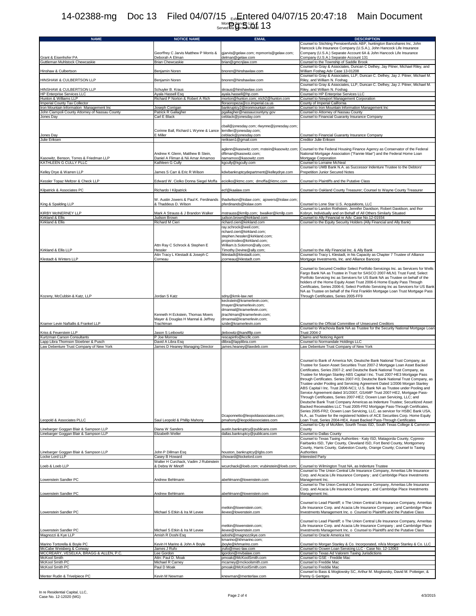## Exhibit A TLCT<br>Month Service List<br>Served via Electronic Mail 14-02388-mg Doc 13 Filed 04/07/15 <sub>Ext</sub>Entered 04/07/15 20:47:18 Main Document  $\frac{1}{2}$  on the Service Light  $13$

| <b>NAME</b>                                                                                      | <b>NOTICE NAME</b>                                                                        | <b>EMAIL</b>                                                                                                                                       | <b>DESCRIPTION</b>                                                                                                                                                                                                                                                                                                                                                                                                                                                                                                                                                                                                                                                                                                                                                                                                                                                                                                                                                                                                                                                                          |
|--------------------------------------------------------------------------------------------------|-------------------------------------------------------------------------------------------|----------------------------------------------------------------------------------------------------------------------------------------------------|---------------------------------------------------------------------------------------------------------------------------------------------------------------------------------------------------------------------------------------------------------------------------------------------------------------------------------------------------------------------------------------------------------------------------------------------------------------------------------------------------------------------------------------------------------------------------------------------------------------------------------------------------------------------------------------------------------------------------------------------------------------------------------------------------------------------------------------------------------------------------------------------------------------------------------------------------------------------------------------------------------------------------------------------------------------------------------------------|
|                                                                                                  |                                                                                           |                                                                                                                                                    | Counsel to Stichting Pensioenfunds ABP, huntington Bancshares Inc, John<br>Hancock Life Insurance Company (U.S.A.), John Hancock Life Insurance                                                                                                                                                                                                                                                                                                                                                                                                                                                                                                                                                                                                                                                                                                                                                                                                                                                                                                                                             |
|                                                                                                  | Georffrey C Jarvis Matthew P Morris &                                                     | gjarvis@gelaw.com; mpmorris@gelaw.com;                                                                                                             | Company (U.S.A.) Separate Account 6A & John Hancock Life Insurance                                                                                                                                                                                                                                                                                                                                                                                                                                                                                                                                                                                                                                                                                                                                                                                                                                                                                                                                                                                                                          |
| Grant & Eisenhofer PA<br>Guttleman Muhlstock Chewcaskie                                          | Deborah A Elman<br><b>Brian Chewcaskie</b>                                                | delman@gelaw.com<br>brian@gmcnjlaw.com                                                                                                             | Company (U.S.A.) Separate Account 131<br>Counsel to the Township of Saddle Brook                                                                                                                                                                                                                                                                                                                                                                                                                                                                                                                                                                                                                                                                                                                                                                                                                                                                                                                                                                                                            |
|                                                                                                  |                                                                                           |                                                                                                                                                    | Counsel to Gray & Associates, Duncan C Delhey, Jay Pitner, Michael Riley, and                                                                                                                                                                                                                                                                                                                                                                                                                                                                                                                                                                                                                                                                                                                                                                                                                                                                                                                                                                                                               |
| Hinshaw & Culbertson                                                                             | Benjamin Noren                                                                            | bnoren@hinshawlaw.com                                                                                                                              | William Foshag Adv Case 13-01208<br>Counsel to Gray & Associates, LLP, Duncan C. Delhey, Jay J. Pitner, Michael M.                                                                                                                                                                                                                                                                                                                                                                                                                                                                                                                                                                                                                                                                                                                                                                                                                                                                                                                                                                          |
| HINSHAW & CULBERTSON LLP                                                                         | Benjamin Noren                                                                            | bnoren@hinshawlaw.com                                                                                                                              | Riley, and William N. Foshag                                                                                                                                                                                                                                                                                                                                                                                                                                                                                                                                                                                                                                                                                                                                                                                                                                                                                                                                                                                                                                                                |
| HINSHAW & CULBERTSON LLP                                                                         | Schuyler B. Kraus                                                                         | skraus@hinshawlaw.com                                                                                                                              | Counsel to Gray & Associates, LLP, Duncan C. Delhey, Jay J. Pitner, Michael M.<br>Riley, and William N. Foshag                                                                                                                                                                                                                                                                                                                                                                                                                                                                                                                                                                                                                                                                                                                                                                                                                                                                                                                                                                              |
| <b>HP Enterprise Services LLC</b>                                                                | Ayala Hassell Esq                                                                         | ayala.hassell@hp.com                                                                                                                               | Counsel to HP Enterprise Services LLC                                                                                                                                                                                                                                                                                                                                                                                                                                                                                                                                                                                                                                                                                                                                                                                                                                                                                                                                                                                                                                                       |
| Hunton & Williams LLP<br>Imperial County Tax Collector                                           | Richard P Norton & Robert A Rich                                                          | rnorton@hunton.com; rrich2@hunton.com<br>floraoropeza@co.imperial.ca.us                                                                            | Counsel to Newport Management Corporation<br>County of Imperial California                                                                                                                                                                                                                                                                                                                                                                                                                                                                                                                                                                                                                                                                                                                                                                                                                                                                                                                                                                                                                  |
| Iron Mountain Information Management Inc                                                         | Joseph Corrigan                                                                           | bankruptcy2@ironmountain.com                                                                                                                       | Counsel to Iron Mountain Information Management Inc                                                                                                                                                                                                                                                                                                                                                                                                                                                                                                                                                                                                                                                                                                                                                                                                                                                                                                                                                                                                                                         |
| John Ciampoli County Attorney of Nassau County<br>Jones Day                                      | Patrick R Gallagher<br>Carl E Black                                                       | pgallagher@nassaucountyny.gov<br>ceblack@jonesday.com                                                                                              | Counsel to Attorney of Nassau County<br>Counsel to Financial Guaranty Insurance Company                                                                                                                                                                                                                                                                                                                                                                                                                                                                                                                                                                                                                                                                                                                                                                                                                                                                                                                                                                                                     |
|                                                                                                  |                                                                                           |                                                                                                                                                    |                                                                                                                                                                                                                                                                                                                                                                                                                                                                                                                                                                                                                                                                                                                                                                                                                                                                                                                                                                                                                                                                                             |
| Jones Day<br>Julie Eriksen                                                                       | Corinne Ball, Richard L Wynne & Lance<br>E Miller                                         | cball@jonesday.com; rlwynne@jonesday.com;<br>lemiller@jonesday.com;<br>ceblack@jonesday.com<br>reriksen1@gmail.com                                 | Counsel to Financial Guaranty Insurance Company<br>Creditor Julie Eriksen                                                                                                                                                                                                                                                                                                                                                                                                                                                                                                                                                                                                                                                                                                                                                                                                                                                                                                                                                                                                                   |
| Kasowitz, Benson, Torres & Friedman LLP<br>KATHLEEN G CULLY PLLC                                 | Andrew K Glenn, Matthew B Stein,<br>Daniel A Fliman & Nii Amar Amamoo<br>Kathleen G Cully | aglenn@kasowitz.com; mstein@kasowitz.com;<br>dfliman@kasowitz.com:<br>namamoo@kasowitz.com<br>kgcully@kgcully.com                                  | Counsel to the Federal Housing Finance Agency as Conservator of the Federal<br>National Mortgage Association ("Fannie Mae") and the Federal Home Loan<br>Mortgage Corporation<br>Counsel to Lorraine McNeal                                                                                                                                                                                                                                                                                                                                                                                                                                                                                                                                                                                                                                                                                                                                                                                                                                                                                 |
|                                                                                                  |                                                                                           |                                                                                                                                                    | Counsel to UMB Bank N.A. as Successor Indenture Trustee to the Debtors'                                                                                                                                                                                                                                                                                                                                                                                                                                                                                                                                                                                                                                                                                                                                                                                                                                                                                                                                                                                                                     |
| Kelley Drye & Warren LLP                                                                         | James S Carr & Eric R Wilson                                                              | kdwbankruptcydepartment@kelleydrye.com                                                                                                             | Prepetition Junior Secured Notes                                                                                                                                                                                                                                                                                                                                                                                                                                                                                                                                                                                                                                                                                                                                                                                                                                                                                                                                                                                                                                                            |
| Kessler Topaz Meltzer & Check LLP                                                                | Edward W. Ciolko Donna Siegel Moffa                                                       | eciolko@ktmc.com; dmoffa@ktmc.com                                                                                                                  | Counsel to Plaintiffs and the Putative Class                                                                                                                                                                                                                                                                                                                                                                                                                                                                                                                                                                                                                                                                                                                                                                                                                                                                                                                                                                                                                                                |
| Kilpatrick & Associates PC                                                                       | Richardo I Kilpatrick                                                                     | ecf@kaalaw.com                                                                                                                                     | Counsel to Oakland County Treasurer; Counsel to Wayne County Treasurer                                                                                                                                                                                                                                                                                                                                                                                                                                                                                                                                                                                                                                                                                                                                                                                                                                                                                                                                                                                                                      |
|                                                                                                  | W. Austin Jowers & Paul K. Ferdinands                                                     | thadwilson@kslaw.com; ajowers@kslaw.com;                                                                                                           |                                                                                                                                                                                                                                                                                                                                                                                                                                                                                                                                                                                                                                                                                                                                                                                                                                                                                                                                                                                                                                                                                             |
| King & Spalding LLP                                                                              | & Thaddeus D. Wilson                                                                      | pferdinands@kslaw.com                                                                                                                              | Counsel to Lone Star U.S. Acquisitions, LLC<br>Counsel to Landon Rothstein, Jennifer Davidson, Robert Davidson, and Ihor                                                                                                                                                                                                                                                                                                                                                                                                                                                                                                                                                                                                                                                                                                                                                                                                                                                                                                                                                                    |
| KIRBY MCINERNEY LLP                                                                              | Mark A Strauss & J Brandon Walker                                                         | mstrauss@kmllp.com; bwalker@kmllp.com                                                                                                              | Kobryn, Individually and on Behalf of All Others Similarly Situated                                                                                                                                                                                                                                                                                                                                                                                                                                                                                                                                                                                                                                                                                                                                                                                                                                                                                                                                                                                                                         |
| Kirkland & Ellis<br>Kirkland & Ellis                                                             | Judson Brown<br>Richard M Cieri                                                           | judson.brown@kirkland.com<br>richard.cieri@kirkland.com                                                                                            | Counsel to Ally Financial re Adv. Case No.12-01934<br>Counsel to the Equity Security Holders (Ally Financial and Ally Bank)                                                                                                                                                                                                                                                                                                                                                                                                                                                                                                                                                                                                                                                                                                                                                                                                                                                                                                                                                                 |
|                                                                                                  | Attn Ray C Schrock & Stephen E                                                            | ray.schrock@weil.com;<br>richard.cieri@kirkland.com;<br>stephen.hessler@kirkland.com;<br>projectrodeo@kirkland.com;<br>William.b.Solomon@ally.com; |                                                                                                                                                                                                                                                                                                                                                                                                                                                                                                                                                                                                                                                                                                                                                                                                                                                                                                                                                                                                                                                                                             |
| Kirkland & Ellis LLP                                                                             | Hessler<br>Attn Tracy L Klestadt & Joseph C                                               | Timothy.Devine@ally.com;<br>tklestadt@klestadt.com:                                                                                                | Counsel to the Ally Financial Inc. & Ally Bank<br>Counsel to Tracy L Klestadt, in his Capacity as Chapter 7 Trustee of Alliance                                                                                                                                                                                                                                                                                                                                                                                                                                                                                                                                                                                                                                                                                                                                                                                                                                                                                                                                                             |
| Klestadt & Winters LLP                                                                           | Corneau                                                                                   | jcorneau@klestadt.com                                                                                                                              | Mortgage Investments, Inc. and Alliance Bancorp<br>Counsel to Secured Creditor Select Portfolio Servicings Inc. as Servicers for Wells<br>Fargo Bank NA as Trustee in Trust for SASCO 2007-MLN1 Trust Fund; Select<br>Portfolio Servicing Inc as Servicers for US Bank NA as Trustee on behalf of the<br>holders of the Home Equity Asset Trust 2006-6 Home Equity Pass Through<br>Certificates, Series 2006-6; Select Portfolio Servicing Inc as Servicers for US Bank<br>NA as Trustee on behalf of the First Franklin Mortgage Loan Trust Mortgage Pass                                                                                                                                                                                                                                                                                                                                                                                                                                                                                                                                  |
| Kozeny, McCubbin & Katz, LLP                                                                     | Jordan S Katz                                                                             | sdny@kmk-law.net                                                                                                                                   | Through Certificates, Series 2005-FF9                                                                                                                                                                                                                                                                                                                                                                                                                                                                                                                                                                                                                                                                                                                                                                                                                                                                                                                                                                                                                                                       |
|                                                                                                  | Kenneth H Eckstein, Thomas Moers<br>Mayer & Douglas H Mannal & Jeffrey                    | keckstein@kramerlevin.com;<br>tmayer@kramerlevin.com;<br>dmannal@kramerlevin.com;<br>jtrachtman@kramerlevin.com;<br>dmannal@kramerlevin.com;       |                                                                                                                                                                                                                                                                                                                                                                                                                                                                                                                                                                                                                                                                                                                                                                                                                                                                                                                                                                                                                                                                                             |
| Kramer Levin Naftallis & Frankel LLP                                                             | Trachtman                                                                                 | szide@kramerlevin.com                                                                                                                              | Counsel to the Official Committee of Unsecured Creditors<br>Counsel to Wachovia Bank NA as Trustee for the Security National Mortgage Loan                                                                                                                                                                                                                                                                                                                                                                                                                                                                                                                                                                                                                                                                                                                                                                                                                                                                                                                                                  |
| Kriss & Feuerstein LLP                                                                           | Jason S Leibowitz                                                                         | jleibowitz@kandfllp.com                                                                                                                            | <b>Trust 2004-2</b>                                                                                                                                                                                                                                                                                                                                                                                                                                                                                                                                                                                                                                                                                                                                                                                                                                                                                                                                                                                                                                                                         |
| Kurtzman Carson Consultants<br>Lapp Libra Thomson Stoebner & Pusch                               | P Joe Morrow<br>David A Libra Esq                                                         | rescapinfo@kccllc.com<br>dlibra@lapplibra.com                                                                                                      | Claims and Noticing Agent<br>Counsel to Normandale Holdings LLC                                                                                                                                                                                                                                                                                                                                                                                                                                                                                                                                                                                                                                                                                                                                                                                                                                                                                                                                                                                                                             |
| Law Debenture Trust Company of New York                                                          | James D Heaney Managing Director                                                          | james.heaney@lawdeb.com<br>Dcaponnetto@leopoldassociates.com;                                                                                      | Law Debenture Trust Company of New York<br>Counsel to Bank of America NA; Deutsche Bank National Trust Company, as<br>Trustee for Saxon Asset Securities Trust 2007-2 Mortgage Loan Asset Backed<br>Certificates, Series 2007-2; and Deutsche Bank National Trust Company, as<br>Trustee for Morgan Stanley ABS Capital I Inc. Trust 2007-HE3 Mortgage Pass<br>through Certificates. Series 2007-H3; Deutsche Bank National Trust Company, as<br>Trustee under Pooling and Servicing Agreement Dated 1/2006 Morgan Stanley<br>ABS Capital I Inc. Trust 2006-NC1; U.S. Bank NA as Trustee under Pooling and<br>Service Agreement dated 3/1/2007, GSAMP Trust 2007-HE2, Mortgage Pass-<br>Through Certificates, Series 2007-HE2: Ocwen Loan Servicing, LLC: and<br>Deutsche Bank Trust Company Americas as Indenture Trustee; Securitized Asset<br>Backed Receivables LLC Trust 2005-FR2 Mortgage Pass-Through Certificates,<br>Series 2005-FR2; Ocwen Loan Servicing, LLC, as servicer for HSBC Bank USA,<br>N.A., as Trustee for the registered holders of ACE Securities Corp. Home Equity |
| Leopold & Associates PLLC                                                                        | Saul Leopold & Phillip Mahony                                                             | pmahony@leopoldassociates.com                                                                                                                      | Loan Trust, Series 2004-HE4, Asset Backed Pass-Through Certificates                                                                                                                                                                                                                                                                                                                                                                                                                                                                                                                                                                                                                                                                                                                                                                                                                                                                                                                                                                                                                         |
| Linebarger Goggan Blair & Sampson LLP                                                            | Diana W Sanders                                                                           | austin.bankruptcy@publicans.com                                                                                                                    | Counsel to City of McAllen, Sourth Texas ISD, South Texas College & Cameron<br>County                                                                                                                                                                                                                                                                                                                                                                                                                                                                                                                                                                                                                                                                                                                                                                                                                                                                                                                                                                                                       |
| Linebarger Goggan Blair & Sampson LLP<br>Linebarger Goggan Blair & Sampson LLP<br>Locke Lord LLP | Elizabeth Weller<br>John P Dillman Esq<br>Casey B Howard                                  | dallas.bankruptcy@publicans.com<br>houston_bankruptcy@lgbs.com<br>choward@lockelord.com                                                            | Counsel to Dallas County<br>Counsel to Texas Taxing Authorities - Katy ISD, Matagorda County, Cypress-<br>Fairbanks ISD, Tyler County, Cleveland ISD, Fort Bend County, Montgomery<br>County, Harris County, Galveston County, Orange County; Counsel to Taxing<br>Authorities<br><b>Interested Party</b>                                                                                                                                                                                                                                                                                                                                                                                                                                                                                                                                                                                                                                                                                                                                                                                   |
|                                                                                                  | Walter H Curchack, Vadim J Rubinstein                                                     | wcurchack@loeb.com: vrubinstein@loeb.com:                                                                                                          |                                                                                                                                                                                                                                                                                                                                                                                                                                                                                                                                                                                                                                                                                                                                                                                                                                                                                                                                                                                                                                                                                             |
| Loeb & Loeb LLP                                                                                  | & Debra W Minoff                                                                          |                                                                                                                                                    | Counsel to Wilmington Trust NA, as Indenture Trustee<br>Counsel to The Union Central Life Insurance Company, Ameritas Life Insurance<br>Corp. and Acacia Life Insurance Company : and Cambridge Place Investments                                                                                                                                                                                                                                                                                                                                                                                                                                                                                                                                                                                                                                                                                                                                                                                                                                                                           |
| Lowenstein Sandler PC                                                                            | Andrew Behlmann                                                                           | abehlmann@lowenstein.com                                                                                                                           | Management Inc.<br>Counsel to The Union Central Life Insurance Company, Ameritas Life Insurance                                                                                                                                                                                                                                                                                                                                                                                                                                                                                                                                                                                                                                                                                                                                                                                                                                                                                                                                                                                             |
| Lowenstein Sandler PC                                                                            | Andrew Behlmann                                                                           | abehlmann@lowenstein.com                                                                                                                           | Corp. and Acacia Life Insurance Company ; and Cambridge Place Investments<br>Management Inc.                                                                                                                                                                                                                                                                                                                                                                                                                                                                                                                                                                                                                                                                                                                                                                                                                                                                                                                                                                                                |
| Lowenstein Sandler PC                                                                            | Michael S Etkin & Ira M Levee                                                             | metkin@lowenstein.com;<br>ilevee@lowenstein.com                                                                                                    | Counsel to Lead Plaintiff; o The Union Central Life Insurance Company, Ameritas<br>Life Insurance Corp. and Acacia Life Insurance Company ; and Cambridge Place<br>Investments Management Inc. o Counsel to Plaintiffs and the Putative Class                                                                                                                                                                                                                                                                                                                                                                                                                                                                                                                                                                                                                                                                                                                                                                                                                                               |
| Lowenstein Sandler PC<br>Magnozzi & Kye LLP                                                      | Michael S Etkin & Ira M Levee<br>Amish R Doshi Esq                                        | metkin@lowenstein.com;<br>ilevee@lowenstein.com<br>adoshi@magnozzikye.com                                                                          | Counsel to Lead Plaintiff; o The Union Central Life Insurance Company, Ameritas<br>Life Insurance Corp. and Acacia Life Insurance Company ; and Cambridge Place<br>Investments Management Inc. o Counsel to Plaintiffs and the Putative Class<br>Counsel to Oracle America Inc                                                                                                                                                                                                                                                                                                                                                                                                                                                                                                                                                                                                                                                                                                                                                                                                              |
| Marino Tortorella & Boyle PC                                                                     | Kevin H Marino & John A Boyle                                                             | kmarino@khmarino.com;<br>jboyle@khmarino.com                                                                                                       | Counsel to Morgan Stanley & Co. Incorporated, n/k/a Morgan Stanley & Co. LLC                                                                                                                                                                                                                                                                                                                                                                                                                                                                                                                                                                                                                                                                                                                                                                                                                                                                                                                                                                                                                |
| McCabe Weisberg & Conway                                                                         | James J Rufo                                                                              | jrufo@mwc-law.com                                                                                                                                  | Counsel to Ocwen Loan Servicing LLC - Case No. 12-12063                                                                                                                                                                                                                                                                                                                                                                                                                                                                                                                                                                                                                                                                                                                                                                                                                                                                                                                                                                                                                                     |
| MCCREARY, VESELKA, BRAGG & ALLEN, P.C.<br>McKool Smith                                           | Lee Gordon<br>Attn: Paul D. Moak                                                          | lgordon@mvbalaw.com<br>pmoak@McKoolSmith.com                                                                                                       | Counsel to Texas Ad Valorem Taxing Jurisdictions<br>Counsel to GSE - Freddie Mac                                                                                                                                                                                                                                                                                                                                                                                                                                                                                                                                                                                                                                                                                                                                                                                                                                                                                                                                                                                                            |
| McKool Smith PC                                                                                  | Michael R Carney                                                                          | mcarney@mckoolsmith.com                                                                                                                            | Counsel to Freddie Mac                                                                                                                                                                                                                                                                                                                                                                                                                                                                                                                                                                                                                                                                                                                                                                                                                                                                                                                                                                                                                                                                      |
| McKool Smith PC                                                                                  | Paul D Moak                                                                               | pmoak@McKoolSmith.com                                                                                                                              | Counsel to Freddie Mac<br>Counsel to Bass & Moglowsky SC, Arthur M. Moglowsky, David M. Potteiger, &                                                                                                                                                                                                                                                                                                                                                                                                                                                                                                                                                                                                                                                                                                                                                                                                                                                                                                                                                                                        |
| Menter Rudin & Trivelpiece PC                                                                    | Kevin M Newman                                                                            | knewman@menterlaw.com                                                                                                                              | Penny G Gentges                                                                                                                                                                                                                                                                                                                                                                                                                                                                                                                                                                                                                                                                                                                                                                                                                                                                                                                                                                                                                                                                             |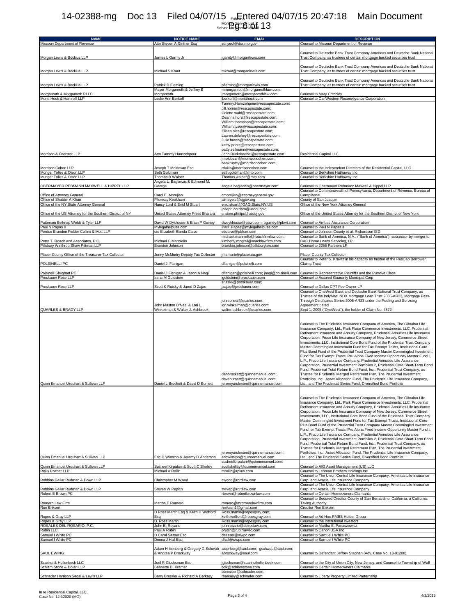## Exhibit A TLCT<br>Month Service List<br>Served via Electronic Mail 14-02388-mg Doc 13 Filed 04/07/15 <sub>Ext</sub>Entered 04/07/15 20:47:18 Main Document  $\frac{1}{2}$  on the Second Light  $13$

| <b>NAME</b>                                                                | <b>NOTICE NAME</b>                                             | <b>EMAIL</b>                                                                                                                                                                                                                                                                                                                                                                                 | <b>DESCRIPTION</b>                                                                                                                                                                                                                                                                                                                                                                                                                                                                                                                                                                                                                                                                                                                                                                                                                                                                                                                                                                                                                                                                                                                                                                                               |
|----------------------------------------------------------------------------|----------------------------------------------------------------|----------------------------------------------------------------------------------------------------------------------------------------------------------------------------------------------------------------------------------------------------------------------------------------------------------------------------------------------------------------------------------------------|------------------------------------------------------------------------------------------------------------------------------------------------------------------------------------------------------------------------------------------------------------------------------------------------------------------------------------------------------------------------------------------------------------------------------------------------------------------------------------------------------------------------------------------------------------------------------------------------------------------------------------------------------------------------------------------------------------------------------------------------------------------------------------------------------------------------------------------------------------------------------------------------------------------------------------------------------------------------------------------------------------------------------------------------------------------------------------------------------------------------------------------------------------------------------------------------------------------|
| Missouri Department of Revenue                                             | Attn Steven A Ginther Esq                                      | sdnyecf@dor.mo.gov                                                                                                                                                                                                                                                                                                                                                                           | Counsel to Missouri Department of Revenue                                                                                                                                                                                                                                                                                                                                                                                                                                                                                                                                                                                                                                                                                                                                                                                                                                                                                                                                                                                                                                                                                                                                                                        |
| Morgan Lewis & Bockius LLP                                                 | James L Garrity Jr                                             | jgarrity@morganlewis.com                                                                                                                                                                                                                                                                                                                                                                     | Counsel to Deutsche Bank Trust Company Americas and Deutsche Bank National<br>Trust Company, as trustees of certain mortgage backed securities trust                                                                                                                                                                                                                                                                                                                                                                                                                                                                                                                                                                                                                                                                                                                                                                                                                                                                                                                                                                                                                                                             |
| Morgan Lewis & Bockius LLP                                                 | Michael S Kraut                                                | mkraut@morganlewis.com                                                                                                                                                                                                                                                                                                                                                                       | Counsel to Deutsche Bank Trust Company Americas and Deutsche Bank National<br>Trust Company, as trustees of certain mortgage backed securities trust                                                                                                                                                                                                                                                                                                                                                                                                                                                                                                                                                                                                                                                                                                                                                                                                                                                                                                                                                                                                                                                             |
| Morgan Lewis & Bockius LLP                                                 | Patrick D Fleming                                              | pfleming@morganlewis.com                                                                                                                                                                                                                                                                                                                                                                     | Counsel to Deutsche Bank Trust Company Americas and Deutsche Bank National<br>Trust Company, as trustees of certain mortgage backed securities trust                                                                                                                                                                                                                                                                                                                                                                                                                                                                                                                                                                                                                                                                                                                                                                                                                                                                                                                                                                                                                                                             |
|                                                                            | Mayer Morganroth & Jeffrey B<br>Morganroth                     | mmorganroth@morganrothlaw.com;<br>jmorganroth@morganrothlaw.com                                                                                                                                                                                                                                                                                                                              |                                                                                                                                                                                                                                                                                                                                                                                                                                                                                                                                                                                                                                                                                                                                                                                                                                                                                                                                                                                                                                                                                                                                                                                                                  |
| Morganroth & Morganroth PLLC<br>Moritt Hock & Hamroff LLP                  | Leslie Ann Berkoff                                             | lberkoff@moritthock.com                                                                                                                                                                                                                                                                                                                                                                      | Counsel to Mary Critchley<br>Counsel to Cal-Western Reconveyance Corporation                                                                                                                                                                                                                                                                                                                                                                                                                                                                                                                                                                                                                                                                                                                                                                                                                                                                                                                                                                                                                                                                                                                                     |
|                                                                            |                                                                | Tammy.Hamzehpour@rescapestate.com;<br>Jill.horner@rescapestate.com;<br>Colette.wahl@rescapestate.com;<br>Deanna.horst@rescapestate.com;<br>William.thompson@rescapestate.com;<br>William.tyson@rescapestate.com;<br>Eileen.oles@rescapestate.com;<br>Lauren.delehey@rescapestate.com;<br>Julie.busch@rescapestate.com;<br>kathy.priore@rescapestate.com;<br>patty.zellmann@rescapestate.com; |                                                                                                                                                                                                                                                                                                                                                                                                                                                                                                                                                                                                                                                                                                                                                                                                                                                                                                                                                                                                                                                                                                                                                                                                                  |
| Morrison & Foerster LLP                                                    | Attn Tammy Hamzehpour                                          | John.Ruckdaschel@rescapestate.com<br>imoldovan@morrisoncohen.com;                                                                                                                                                                                                                                                                                                                            | Residential Capital LLC                                                                                                                                                                                                                                                                                                                                                                                                                                                                                                                                                                                                                                                                                                                                                                                                                                                                                                                                                                                                                                                                                                                                                                                          |
|                                                                            |                                                                | bankruptcy@morrisoncohen.com;                                                                                                                                                                                                                                                                                                                                                                |                                                                                                                                                                                                                                                                                                                                                                                                                                                                                                                                                                                                                                                                                                                                                                                                                                                                                                                                                                                                                                                                                                                                                                                                                  |
| Morrison Cohen LLP<br>Munger Tolles & Olson LLP                            | Joseph T Moldovan Esq<br>Seth Goldman                          | rdakis@morrisoncohen.com<br>seth.goldman@mto.com                                                                                                                                                                                                                                                                                                                                             | Counsel to the Independent Directors of the Residential Capital, LLC<br>Counsel to Berkshire Hathaway Inc                                                                                                                                                                                                                                                                                                                                                                                                                                                                                                                                                                                                                                                                                                                                                                                                                                                                                                                                                                                                                                                                                                        |
| Munger Tolles & Olson LLP                                                  | Thomas B Walper                                                | Thomas.walper@mto.com                                                                                                                                                                                                                                                                                                                                                                        | Counsel to Berkshire Hathaway Inc                                                                                                                                                                                                                                                                                                                                                                                                                                                                                                                                                                                                                                                                                                                                                                                                                                                                                                                                                                                                                                                                                                                                                                                |
| OBERMAYER REBMANN MAXWELL & HIPPEL LLP                                     | Angela L. Baglanzis & Edmond M.<br>George                      | angela.baglanzis@obermayer.com                                                                                                                                                                                                                                                                                                                                                               | Counsel to Obermayer Rebmann Maxwell & Hippel LLP                                                                                                                                                                                                                                                                                                                                                                                                                                                                                                                                                                                                                                                                                                                                                                                                                                                                                                                                                                                                                                                                                                                                                                |
|                                                                            |                                                                |                                                                                                                                                                                                                                                                                                                                                                                              | Counsel to Commonwealth of Pennsylvania, Department of Revenue, Bureau of                                                                                                                                                                                                                                                                                                                                                                                                                                                                                                                                                                                                                                                                                                                                                                                                                                                                                                                                                                                                                                                                                                                                        |
| Office of Attorney General<br>Office of Shabbir A Khan                     | Carol E. Momjian<br>Phonxay Keokham                            | cmomjian@attorneygeneral.gov<br>almeyers@sjgov.org                                                                                                                                                                                                                                                                                                                                           | Compliance<br>County of San Joaquin                                                                                                                                                                                                                                                                                                                                                                                                                                                                                                                                                                                                                                                                                                                                                                                                                                                                                                                                                                                                                                                                                                                                                                              |
| Office of the NY State Attorney General                                    | Nancy Lord & Enid M Stuart                                     | enid.stuart@OAG.State.NY.US                                                                                                                                                                                                                                                                                                                                                                  | Office of the New York Attorney General                                                                                                                                                                                                                                                                                                                                                                                                                                                                                                                                                                                                                                                                                                                                                                                                                                                                                                                                                                                                                                                                                                                                                                          |
| Office of the US Attorney for the Southern District of NY                  | United States Attorney Preet Bharara                           | joseph.cordaro@usdoj.gov;<br>cristine.phillips@usdoj.gov                                                                                                                                                                                                                                                                                                                                     | Office of the United States Attorney for the Southern District of New York                                                                                                                                                                                                                                                                                                                                                                                                                                                                                                                                                                                                                                                                                                                                                                                                                                                                                                                                                                                                                                                                                                                                       |
| Patterson Belknap Webb & Tyler LLP<br>Paul N Papas II                      | David W Dykhouse & Brian P Guiney<br>Mylegalhelpusa.com        | dwdykhouse@pbwt.com; bguiney@pbwt.com<br>Paul_Papas@mylegalhelpusa.com                                                                                                                                                                                                                                                                                                                       | Counsel to Ambac Assurance Corporation<br>Counsel to Paul N Papas II                                                                                                                                                                                                                                                                                                                                                                                                                                                                                                                                                                                                                                                                                                                                                                                                                                                                                                                                                                                                                                                                                                                                             |
| Perdue Brandon Fielder Collins & Mott LLP                                  | c/o Elizabeth Banda Calvo                                      | ebcalvo@pbfcm.com                                                                                                                                                                                                                                                                                                                                                                            | Counsel to Johnson County et al, Richardson ISD                                                                                                                                                                                                                                                                                                                                                                                                                                                                                                                                                                                                                                                                                                                                                                                                                                                                                                                                                                                                                                                                                                                                                                  |
| Peter T. Roach and Associates, P.C.<br>Pillsbury Winthrop Shaw Pittman LLP | Michael C Manniello<br>Brandon Johnson                         | michael.manniello@roachfirmlaw.com;<br>kimberly.mcgrail@roachlawfirm.com<br>brandon.johnson@pillsburylaw.com                                                                                                                                                                                                                                                                                 | Counsel to Bank of America, N.A., ("Bank of America"), successor by merger to<br>BAC Home Loans Servicing, LP<br>Counsel to 2255 Partners LP                                                                                                                                                                                                                                                                                                                                                                                                                                                                                                                                                                                                                                                                                                                                                                                                                                                                                                                                                                                                                                                                     |
|                                                                            |                                                                |                                                                                                                                                                                                                                                                                                                                                                                              |                                                                                                                                                                                                                                                                                                                                                                                                                                                                                                                                                                                                                                                                                                                                                                                                                                                                                                                                                                                                                                                                                                                                                                                                                  |
| Placer County Office of the Treasurer-Tax Collector                        | Jenny McMurtry Deputy Tax Collector                            | jmcmurtr@placer.ca.gov                                                                                                                                                                                                                                                                                                                                                                       | Placer County Tax Collector<br>Counsel to Peter S. Kravitz in his capacity as trustee of the ResCap Borrower                                                                                                                                                                                                                                                                                                                                                                                                                                                                                                                                                                                                                                                                                                                                                                                                                                                                                                                                                                                                                                                                                                     |
| POLSINELLI PC                                                              | Daniel J. Flanigan                                             | dflanigan@polsinelli.com                                                                                                                                                                                                                                                                                                                                                                     | <b>Claims Trust</b>                                                                                                                                                                                                                                                                                                                                                                                                                                                                                                                                                                                                                                                                                                                                                                                                                                                                                                                                                                                                                                                                                                                                                                                              |
| Polsinelli Shughart PC<br>Proskauer Rose LLP                               | Daniel J Flanigan & Jason A Nagi<br>Irena M Goldstein          | dflanigan@polsinelli.com; jnagi@polsinelli.com<br>igoldstein@proskauer.com                                                                                                                                                                                                                                                                                                                   | Counsel to Representative Plaintiffs and the Putative Class<br>Counsel to Assured Guaranty Municipal Corp                                                                                                                                                                                                                                                                                                                                                                                                                                                                                                                                                                                                                                                                                                                                                                                                                                                                                                                                                                                                                                                                                                        |
| Proskauer Rose LLP                                                         | Scott K Rutsky & Jared D Zajac                                 | srutsky@proskauer.com;<br>jzajac@proskauer.com                                                                                                                                                                                                                                                                                                                                               | Counsel to Dallas CPT Fee Owner LP                                                                                                                                                                                                                                                                                                                                                                                                                                                                                                                                                                                                                                                                                                                                                                                                                                                                                                                                                                                                                                                                                                                                                                               |
| QUARLES & BRADY LLP                                                        | John Maston O'Neal & Lori L.<br>Winkelman & Walter J. Ashbrook | john.oneal@quarles.com;<br>lori.winkelman@quarles.com;<br>walter.ashbrook@quarles.com                                                                                                                                                                                                                                                                                                        | Counsel to OneWest Bank and Deutsche Bank National Trust Company, as<br>Trustee of the IndyMac INDX Mortgage Loan Trust 2005-AR23, Mortgage Pass-<br>Through Certificates Series 2005-AR23 under the Pooling and Servicing<br>Agreement dated<br>Sept 1, 2005 ("OneWest"), the holder of Claim No. 4872                                                                                                                                                                                                                                                                                                                                                                                                                                                                                                                                                                                                                                                                                                                                                                                                                                                                                                          |
| Juinn Emanuel Limuhart & Sullivan LLD                                      | Daniel L. Brockett & David D. Burnett                          | danbrockett@quinnemanuel.com;<br>daveburnett@quinnemanuel.com;<br>ല രിവ inn                                                                                                                                                                                                                                                                                                                  | Counsel to The Prudential Insurance Companu of America, The Gibraltar Life<br>Insurance Company, Ltd., Park Place Commerce Investments, LLC, Prudential<br>Retirement Insurance and Annuity Company, Prudential Annuities Life Insurance<br>Corporation, Pruco Life Insurance Company of New Jersey, Commerce Street<br>Investments, LLC, Institutional Core Bond Fund of the Prudential Trust Company<br>Master Commingled Investment Fund for Tax Exempt Trusts, Institutional Core<br>Plus Bond Fund of the Prudential Trust Company Master Commingled Investment<br>Fund for Tax Exempt Trusts, Pru Alpha Fixed Income Opportunity Master Fund I,<br>L.P., Pruco Life Insurance Company, Prudential Annuities Life Assurance<br>Corporation, Prudential Investment Portfolios 2, Prudential Core Short-Term Bond<br>Fund, Prudential Total Return Bond Fund, Inc., Prudential Trust Company, as<br>Trustee for Prudential Merged Retirement Plan, The Prudential Investment<br>Portfolios, Inc., Asset Allocation Fund, The Prudential Life Insurance Company,<br>td and The Prudential Series Fund Diversified Rond Portfolio<br>Counsel to The Prudential Insurance Companu of America, The Gibraltar Life |
|                                                                            |                                                                | jeremyandersen@quinnemanuel.com;                                                                                                                                                                                                                                                                                                                                                             | Insurance Company, Ltd., Park Place Commerce Investments, LLC, Prudential<br>Retirement Insurance and Annuity Company, Prudential Annuities Life Insurance<br>Corporation, Pruco Life Insurance Company of New Jersey, Commerce Street<br>Investments, LLC, Institutional Core Bond Fund of the Prudential Trust Company<br>Master Commingled Investment Fund for Tax Exempt Trusts, Institutional Core<br>Plus Bond Fund of the Prudential Trust Company Master Commingled Investment<br>Fund for Tax Exempt Trusts, Pru Alpha Fixed Income Opportunity Master Fund I,<br>L.P., Pruco Life Insurance Company, Prudential Annuities Life Assurance<br>Corporation, Prudential Investment Portfolios 2, Prudential Core Short-Term Bond<br>Fund, Prudential Total Return Bond Fund, Inc., Prudential Trust Company, as<br>Trustee for Prudential Merged Retirement Plan, The Prudential Investment<br>Portfolios, Inc., Asset Allocation Fund, The Prudential Life Insurance Company,                                                                                                                                                                                                                             |
| Quinn Emanuel Urquhart & Sullivan LLP                                      | Eric D Winston & Jeremy D Anderson                             | ericwinston@quinnemanuel.com<br>susheelkirpalani@quinnemanuel.com;                                                                                                                                                                                                                                                                                                                           | Ltd., and The Prudential Series Fund, Diversified Bond Portfolio                                                                                                                                                                                                                                                                                                                                                                                                                                                                                                                                                                                                                                                                                                                                                                                                                                                                                                                                                                                                                                                                                                                                                 |
| Quinn Emanuel Urquhart & Sullivan LLP                                      | Susheel Kirpalani & Scott C Shelley                            | scottshelley@quinnemanuel.com                                                                                                                                                                                                                                                                                                                                                                | Counsel to AIG Asset Management (US) LLC                                                                                                                                                                                                                                                                                                                                                                                                                                                                                                                                                                                                                                                                                                                                                                                                                                                                                                                                                                                                                                                                                                                                                                         |
| Reilly Pozner LLP                                                          | Michael A Rollin                                               | mrollin@rplaw.com                                                                                                                                                                                                                                                                                                                                                                            | Counsel to Lehman Brothers Holdings Inc<br>Counsel to The Union Central Life Insurance Company, Ameritas Life Insurance                                                                                                                                                                                                                                                                                                                                                                                                                                                                                                                                                                                                                                                                                                                                                                                                                                                                                                                                                                                                                                                                                          |
| Robbins Gellar Rudman & Dowd LLP                                           | Christopher M Wood                                             | cwood@rgrdlaw.com                                                                                                                                                                                                                                                                                                                                                                            | Corp. and Acacia Life Insurance Company<br>Counsel to The Union Central Life Insurance Company, Ameritas Life Insurance                                                                                                                                                                                                                                                                                                                                                                                                                                                                                                                                                                                                                                                                                                                                                                                                                                                                                                                                                                                                                                                                                          |
| Robbins Gellar Rudman & Dowd LLP                                           | Steven W Pepich                                                | stevep@rgrdlaw.com                                                                                                                                                                                                                                                                                                                                                                           | Corp. and Acacia Life Insurance Company                                                                                                                                                                                                                                                                                                                                                                                                                                                                                                                                                                                                                                                                                                                                                                                                                                                                                                                                                                                                                                                                                                                                                                          |
| Robert E Brown PC                                                          |                                                                | rbrown@robertbrownlaw.com                                                                                                                                                                                                                                                                                                                                                                    | Counsel to Certain Homeowners Claimants<br>Counsel to Secured Creditor County of San Bernardino, California, a California                                                                                                                                                                                                                                                                                                                                                                                                                                                                                                                                                                                                                                                                                                                                                                                                                                                                                                                                                                                                                                                                                        |
| Romero Law Firm                                                            | Martha E Romero                                                | romero@mromerolawfirm.com                                                                                                                                                                                                                                                                                                                                                                    | <b>Taxing Authority</b>                                                                                                                                                                                                                                                                                                                                                                                                                                                                                                                                                                                                                                                                                                                                                                                                                                                                                                                                                                                                                                                                                                                                                                                          |
| Ron Eriksen                                                                | D Ross Martin Esq & Keith H Wofford                            | reriksen1@gmail.com<br>Ross.martin@ropesgray.com;                                                                                                                                                                                                                                                                                                                                            | Creditor Ron Eriksen                                                                                                                                                                                                                                                                                                                                                                                                                                                                                                                                                                                                                                                                                                                                                                                                                                                                                                                                                                                                                                                                                                                                                                                             |
| Ropes & Gray LLP                                                           | Esq                                                            | keith.wofford@ropesgray.com                                                                                                                                                                                                                                                                                                                                                                  | Counsel to Ad Hoc RMBS Holder Group                                                                                                                                                                                                                                                                                                                                                                                                                                                                                                                                                                                                                                                                                                                                                                                                                                                                                                                                                                                                                                                                                                                                                                              |
| Ropes & Gray LLP<br>ROSALES DEL ROSARIO, P.C.                              | D. Ross Martin<br>John B. Rosario                              | Ross.martin@ropesgray.com<br>johnrosario@delroslaw.com                                                                                                                                                                                                                                                                                                                                       | Counsel to the Institutional Investors<br>Counsel to Martha S. Panaszewicz                                                                                                                                                                                                                                                                                                                                                                                                                                                                                                                                                                                                                                                                                                                                                                                                                                                                                                                                                                                                                                                                                                                                       |
| Rubin LLC                                                                  | Paul A Rubin                                                   | prubin@rubinlawllc.com                                                                                                                                                                                                                                                                                                                                                                       | Counsel to Canon USA Inc                                                                                                                                                                                                                                                                                                                                                                                                                                                                                                                                                                                                                                                                                                                                                                                                                                                                                                                                                                                                                                                                                                                                                                                         |
| Samuel I White PC<br>Samuel I White PC                                     | D Carol Sasser Esq<br>Donna J Hall Esq                         | dsasser@siwpc.com<br>dhall@siwpc.com                                                                                                                                                                                                                                                                                                                                                         | Counsel to Samuel I White PC<br>Counsel to Samuel I White PC                                                                                                                                                                                                                                                                                                                                                                                                                                                                                                                                                                                                                                                                                                                                                                                                                                                                                                                                                                                                                                                                                                                                                     |
|                                                                            |                                                                |                                                                                                                                                                                                                                                                                                                                                                                              |                                                                                                                                                                                                                                                                                                                                                                                                                                                                                                                                                                                                                                                                                                                                                                                                                                                                                                                                                                                                                                                                                                                                                                                                                  |
| SAUL EWING                                                                 | & Andrea P Brockway                                            | Adam H Isenberg & Gregory G Schwab   aisenberg@saul.com; gschwab@saul.com;<br>abrockway@saul.com                                                                                                                                                                                                                                                                                             | Counsel to Defendant Jeffrey Stephan (Adv. Case No. 13-01208)                                                                                                                                                                                                                                                                                                                                                                                                                                                                                                                                                                                                                                                                                                                                                                                                                                                                                                                                                                                                                                                                                                                                                    |
| Scarinci & Hollenbeck LLC                                                  | Joel R Glucksman Esq                                           | jglucksman@scarincihollenbeck.com                                                                                                                                                                                                                                                                                                                                                            | Counsel to the City of Union City, New Jersey; and Counsel to Township of Wall                                                                                                                                                                                                                                                                                                                                                                                                                                                                                                                                                                                                                                                                                                                                                                                                                                                                                                                                                                                                                                                                                                                                   |
| Schlam Stone & Dolan LLP                                                   | Bennette D. Kramer                                             | bdk@schlamstone.com                                                                                                                                                                                                                                                                                                                                                                          | Counsel to Certain Homeowners Claimants                                                                                                                                                                                                                                                                                                                                                                                                                                                                                                                                                                                                                                                                                                                                                                                                                                                                                                                                                                                                                                                                                                                                                                          |
| Schnader Harrison Segal & Lewis LLP                                        | Barry Bressler & Richard A Barkasy                             | bbressler@schnader.com;<br>rbarkasy@schnader.com                                                                                                                                                                                                                                                                                                                                             | Counsel to Liberty Property Limited Parternship                                                                                                                                                                                                                                                                                                                                                                                                                                                                                                                                                                                                                                                                                                                                                                                                                                                                                                                                                                                                                                                                                                                                                                  |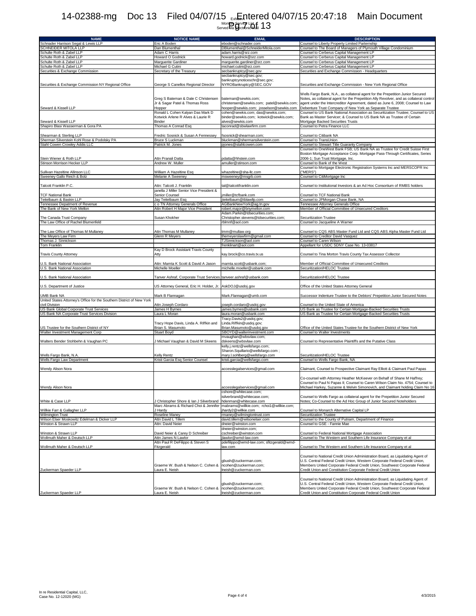## Exhibit A TLCT<br>Monthly Service List<br>Served via Electronic Mail 14-02388-mg Doc 13 Filed 04/07/15 <sub>Ext</sub>Entered 04/07/15 20:47:18 Main Document  $\frac{P_{\text{A}}}{P_{\text{B}}}\frac{P_{\text{B}}}{P_{\text{B}}}\frac{P_{\text{B}}}{P_{\text{B}}}\frac{P_{\text{B}}}{P_{\text{B}}}\frac{13}{13}$

| <b>NAME</b>                                                           | NOTICE NAME                                                       | <b>EMAI</b>                                           | <b>DESCRIPTION</b>                                                                                                                                       |
|-----------------------------------------------------------------------|-------------------------------------------------------------------|-------------------------------------------------------|----------------------------------------------------------------------------------------------------------------------------------------------------------|
| Schnader Harrison Segal & Lewis LLP                                   | Eric A Boden                                                      | eboden@schnader.com                                   | Counsel to Liberty Property Limited Parternship                                                                                                          |
| SCHNEIDER MITOLA LLP                                                  | Dan Blumenthal                                                    | DBlumenthal@SchneiderMitola.com                       | Counsel to The Board of Managers of Plymouth Village Condominium                                                                                         |
| Schulte Roth & Zabel LLP                                              | Adam C Harris                                                     | adam.harris@srz.com                                   | Counsel to Cerberus Capital Management LP                                                                                                                |
| Schulte Roth & Zabel LLP                                              | Howard O Godnick                                                  | howard.godnick@srz.com                                | Counsel to Cerberus Capital Management LP                                                                                                                |
| Schulte Roth & Zabel LLP                                              | Marquerite Gardiner                                               | marguerite.gardiner@srz.com                           | Counsel to Cerberus Capital Management LP                                                                                                                |
| Schulte Roth & Zabel LLP<br>Securities & Exchange Commission          | Michael G Cutini<br>Secretary of the Treasury                     | michael.cutini@srz.com                                | Counsel to Cerberus Capital Management LP<br>Securities and Exchange Commission - Headquarters                                                           |
|                                                                       |                                                                   | secbankruptcy@sec.gov<br>secbankruptcy@sec.gov;       |                                                                                                                                                          |
|                                                                       | George S Canellos Regional Director                               | bankruptcynoticeschr@sec.gov;                         |                                                                                                                                                          |
| Securities & Exchange Commission NY Regional Office                   |                                                                   | NYROBankruptcy@SEC.GOV                                | Securities and Exchange Commission - New York Regional Office                                                                                            |
|                                                                       |                                                                   |                                                       | Wells Fargo Bank, N.A., as collateral agent for the Prepetition Junior Secured                                                                           |
|                                                                       | Greg S Bateman & Dale C Christensen                               | bateman@sewkis.com;                                   | Notes, as collateral agent for the Prepetition Ally Revolver, and as collateral control                                                                  |
|                                                                       | Jr & Sagar Patel & Thomas Ross                                    | christensen@sewkis.com; patel@sewkis.com;             | agent under the Intercreditor Agreement, dated as June 6, 2008; Counsel to Law                                                                           |
| Seward & Kissell LLP                                                  | Hopper                                                            | hooper@sewkis.com; josselson@sewkis.com               | Debenture Trust Company of New York as Separate Trustee                                                                                                  |
|                                                                       | Ronald L Cohen Kalyan Das Mark D                                  | cohen@sewkis.com; das@sewkis.com;                     | Counsel to US Bank National Association as Securitization Trustee; Counsel to US                                                                         |
|                                                                       | Kotwick Arlene R Alves & Laurie R                                 | binder@sewkis.com; kotwick@sewkis.com;                | Bank as Master Servicer; & Counsel to US Bank NA as Trustee of Certain                                                                                   |
| Seward & Kissell LLP                                                  | Binder                                                            | alves@sewkis.com                                      | Mortgage Backed Securities Trusts                                                                                                                        |
| Shapiro Blasi Wasserman & Gora PA                                     | Thomas A Conrad Esq                                               | taconrad@sbwlawfirm.com                               | Counsel to Petra Finance LLC                                                                                                                             |
|                                                                       |                                                                   |                                                       |                                                                                                                                                          |
| Shearman & Sterling LLP                                               | Fredric Sosnick & Susan A Fennessey                               | fsosnick@shearman.com;                                | Counsel to Citibank NA                                                                                                                                   |
| Sherman Silverstein Kohl Rose & Podolsky PA                           | Bruce S Luckman                                                   | bluckman@shermansilverstein.com                       | Counsel to TransUnion                                                                                                                                    |
| Stahl Cowen Crowley Addis LLC                                         | Patrick M. Jones                                                  | pjones@stahlcowen.com                                 | Counsel to Stewart Title Guaranty Company                                                                                                                |
|                                                                       |                                                                   |                                                       | Counsel to OneWest Bank FSB; US Bank NA as Trustee for Credit Suisse First                                                                               |
|                                                                       |                                                                   |                                                       | Boston Mortgage Acceptance Corp. Mortgage Pass-Through Certificates, Series                                                                              |
| Stein Wiener & Roth LLP                                               | Attn Pranali Datta                                                | pdatta@hhstein.com                                    | 2006-1; Sun Trust Mortgage, Inc.                                                                                                                         |
| Stinson Morrison Hecker LLP                                           | Andrew W. Muller                                                  | amuller@stinson.com                                   | Counsel to Bank of the West                                                                                                                              |
|                                                                       |                                                                   |                                                       | Counsel to Mortgage Electronic Registration Systems Inc and MERSCOPR Inc                                                                                 |
| Sullivan Hazeltine Allinson LLC                                       | William A Hazeltine Esq                                           | whazeltine@sha-llc.com                                | ("MERS")                                                                                                                                                 |
| Sweeney Gallo Reich & Bolz                                            | Melanie A Sweeney                                                 | msweeney@msgrb.com                                    | Counsel to CitiMortgage Inc                                                                                                                              |
|                                                                       |                                                                   |                                                       |                                                                                                                                                          |
| Talcott Franklin P.C.                                                 | Attn: Talcott J. Franklin                                         | tal@talcottfranklin.com                               | Counsel to Institutional Investors & an Ad Hoc Consortium of RMBS holders                                                                                |
|                                                                       | janella J Miller Senior Vice President &                          |                                                       |                                                                                                                                                          |
| <b>TCF National Bank</b>                                              | Senior Counsel                                                    | jmiller@tcfbank.com                                   | Counsel to TCF National Bank                                                                                                                             |
| eitelbaum & Baskin LLP                                                | Jay Teitelbaum Esq<br>c o TN Attorney Generals Office             | jteitelbaum@tblawllp.com                              | Counsel to JPMorgan Chase Bank, NA                                                                                                                       |
| ennessee Depatment of Revenue<br>The Bank of New York Mellon          |                                                                   | AGBankNewYork@ag.tn.gov<br>robert.major@bnymellon.com | Tennessee Attorney Generals Office                                                                                                                       |
|                                                                       | Attn Robert H Major Vice President                                | Adam.Parkin@tdsecurities.com;                         | Member of Official Committee of Unsecured Creditors                                                                                                      |
| The Canada Trust Company                                              | Susan Khokher                                                     | Christopher.stevens@tdsecurities.com;                 |                                                                                                                                                          |
| The Law Office of Rachel Blumenfeld                                   |                                                                   | rblmnf@aol.com                                        | Securitization Trustee<br>Counsel to Jacqueline A Warner                                                                                                 |
|                                                                       |                                                                   |                                                       |                                                                                                                                                          |
| The Law Office of Thomas M Mullaney                                   | Attn Thomas M Mullanev                                            | tmm@mullaw.org                                        | Counsel to CQS ABS Master Fund Ltd and CQS ABS Alpha Master Fund Ltd                                                                                     |
| The Meyers Law Firm                                                   | Glenn R Meyers                                                    | themeyerslawfirm@gmail.com                            | Counsel to Creditor David Vasquez                                                                                                                        |
| Thomas J. Sinnickson                                                  |                                                                   | TJSinnickson@aol.com                                  | Counsel to Caren Wilson                                                                                                                                  |
| <b>Tom Franklin</b>                                                   |                                                                   | frenklinart@aol.com                                   | Appellant for USDC SDNY Case No. 13-03817                                                                                                                |
|                                                                       | Kay D Brock Assistant Travis County                               |                                                       |                                                                                                                                                          |
| <b>Travis County Attorney</b>                                         | Atty                                                              | kay.brock@co.travis.tx.us                             | Counsel to Tina Morton Travis County Tax Assessor Collector                                                                                              |
|                                                                       |                                                                   |                                                       |                                                                                                                                                          |
| J.S. Bank National Association                                        | Attn: Mamta K Scott & David A Jason                               | mamta.scott@usbank.com;                               | Member of Official Committee of Unsecured Creditors                                                                                                      |
| U.S. Bank National Association                                        | Michelle Moeller                                                  | michelle.moeller@usbank.com                           | Securitization/HELOC Trustee                                                                                                                             |
|                                                                       |                                                                   |                                                       |                                                                                                                                                          |
| U.S. Bank National Association                                        | Tanver Ashraf, Corporate Trust Services tanveer.ashraf@usbank.com |                                                       | Securitization/HELOC Trustee                                                                                                                             |
|                                                                       |                                                                   |                                                       |                                                                                                                                                          |
| U.S. Department of Justice                                            | US Attorney General, Eric H. Holder, Jr.                          | AskDOJ@usdoj.gov                                      | Office of the United States Attorney General                                                                                                             |
|                                                                       |                                                                   |                                                       |                                                                                                                                                          |
| JMB Bank NA                                                           | Mark B Flannagan                                                  | Mark.Flannagan@umb.com                                | Successor Indenture Trustee to the Debtors' Prepetition Junior Secured Notes                                                                             |
| Jnited States Attorney's Office for the Southern District of New York |                                                                   |                                                       |                                                                                                                                                          |
| civil Division                                                        | Attn Joseph Cordaro                                               | joseph.cordaro@usdoj.gov                              | Counsel to the United State of America                                                                                                                   |
| US Bank Global Corporate Trust Services                               | James H Byrnes                                                    | james.byrnes@usbank.com                               | US Bank as Trustee for Certain Mortgage-Backed Securities Trusts                                                                                         |
| US Bank NA Corporate Trust Services Division                          | Laura L Moran                                                     | laura.moran@usbank.com                                | US Bank as Trustee for Certain Mortgage-Backed Securities Trusts                                                                                         |
|                                                                       |                                                                   | Tracy.Davis2@usdoj.gov;                               |                                                                                                                                                          |
|                                                                       | Tracy Hope Davis, Linda A. Riffkin and                            | Linda.Riffkin@usdoj.gov;                              |                                                                                                                                                          |
| JS Trustee for the Southern District of NY                            | Brian S. Masumoto                                                 | Brian.Masumoto@usdoj.gov                              | Office of the United States Trustee for the Southern District of New York                                                                                |
| Walter Investment Management Corp                                     | Stuart Boyd                                                       | SBOYD@walterinvestment.com                            | Counsel to Walter Investments                                                                                                                            |
| Walters Bender Stohbehn & Vaughan PC                                  | J Michael Vaughan & David M Skeens                                | mvaughan@wbsvlaw.com;                                 | Counsel to Representative Plaintiffs and the Putative Class                                                                                              |
|                                                                       |                                                                   | dskeens@wbsvlaw.com<br>kelly.j.rentz@wellsfargo.com;  |                                                                                                                                                          |
|                                                                       |                                                                   | Sharon.Squillario@wellsfargo.com;                     |                                                                                                                                                          |
| Wells Fargo Bank, N.A.                                                | Kelly Rentz                                                       | mary.l.sohlberg@wellsfargo.com                        | Securitization/HELOC Trustee                                                                                                                             |
| Wells Fargo Law Department                                            | Kristi Garcia Esq Senior Counsel                                  | kristi.garcia@wellsfargo.com                          | Counsel to Wells Fargo Bank, NA                                                                                                                          |
|                                                                       |                                                                   |                                                       |                                                                                                                                                          |
| Wendy Alison Nora                                                     |                                                                   | accesslegalservices@gmail.com                         | Claimant, Counsel to Prospective Claimant Ray Elliott & Claimant Paul Papas                                                                              |
|                                                                       |                                                                   |                                                       |                                                                                                                                                          |
|                                                                       |                                                                   |                                                       | Co-counsel with Attorney Heather McKeever on Behalf of Shane M Haffrey;                                                                                  |
|                                                                       |                                                                   |                                                       | Counsel to Paul N Papas II: Counsel to Caren Wilson Claim No. 4754: Counsel to                                                                           |
| Vendy Alison Nora                                                     |                                                                   | accesslegalservices@gmail.                            | Michael Harkey, Suzanne & Melvin Simonovich, and Claimant holding                                                                                        |
|                                                                       |                                                                   | cshore@whitecase.com;                                 |                                                                                                                                                          |
|                                                                       |                                                                   | isilverbrand@whitecase.com;                           | Counsel to Wells Fargo as collateral agent for the Prepetition Junior Secured                                                                            |
| White & Case LLP                                                      | J Christopher Shore & Ian J Silverbrand                           | hdenman@whitecase.com                                 | Notes; Co-Counsel to the Ad Hoc Group of Junior Secured Noteholders                                                                                      |
|                                                                       | Marc Abrams & Richard Choi & Jennifer                             | mabrams@willkie.com; rchoi1@willkie.com;              |                                                                                                                                                          |
| Willkie Farr & Gallagher LLP                                          | J Hardy                                                           | hardy2@willkie.com                                    | Counsel to Monarch Alternative Capital LP                                                                                                                |
| <b>Wilmington Trust</b>                                               | Roseline Maney                                                    | rmaney@wilmingtontrust.com                            | Securitization Trustee                                                                                                                                   |
| Wilson Elser Moskowitz Edelman & Dicker LLP                           | Attn David L Tillem                                               | david.tillem@wilsonelser.com                          | Counsel to the County of Putnam, Department of Finance                                                                                                   |
| Vinston & Strawn LLP                                                  | Attn: David Neier                                                 | dneier@winston.com                                    | Counsel to GSE - Fannie Mae                                                                                                                              |
|                                                                       |                                                                   | dneier@winston.com;                                   |                                                                                                                                                          |
| Winston & Strawn LLP<br><b>Nollmuth Maher &amp; Deutsch LLP</b>       | David Neier & Carey D Schreiber                                   | cschreiber@winston.com                                | Counsel to Federal National Mortgage Association                                                                                                         |
|                                                                       | Attn James N Lawlor                                               | jlawlor@wmd-law.com                                   | Counsel to The Western and Southern Life Insurance Company et al                                                                                         |
|                                                                       | Attn Paul R DeFilippo & Steven S                                  | pdefilippo@wmd-law.com; sfitzgerald@wmd-              |                                                                                                                                                          |
| Wollmuth Maher & Deutsch LLP                                          | Fitzgerald                                                        | law.com                                               | Counsel to The Western and Southern Life Insurance Company et al                                                                                         |
|                                                                       |                                                                   |                                                       |                                                                                                                                                          |
|                                                                       |                                                                   |                                                       | Counsel to National Credit Union Administration Board, as Liquidating Agent of                                                                           |
|                                                                       | Graeme W. Bush & Nelson C. Cohen &                                | gbush@zuckerman.com;<br>ncohen@zuckerman.com;         | U.S. Central Federal Credit Union, Western Corporate Federal Credit Union,<br>Members United Corporate Federal Credit Union, Southwest Corporate Federal |
|                                                                       | Laura E. Neish                                                    | Ineish@zuckerman.com                                  | Credit Union and Constitution Corporate Federal Credit Union                                                                                             |
| Zuckerman Spaeder LLP                                                 |                                                                   |                                                       |                                                                                                                                                          |
|                                                                       |                                                                   |                                                       | Counsel to National Credit Union Administration Board, as Liquidating Agent of                                                                           |
|                                                                       |                                                                   | gbush@zuckerman.com;                                  | U.S. Central Federal Credit Union, Western Corporate Federal Credit Union,                                                                               |
|                                                                       | Graeme W. Bush & Nelson C. Cohen &                                | ncohen@zuckerman.com;                                 | Members United Corporate Federal Credit Union, Southwest Corporate Federal                                                                               |
| Zuckerman Spaeder LLP                                                 | Laura E. Neish                                                    | Ineish@zuckerman.com                                  | Credit Union and Constitution Corporate Federal Credit Union                                                                                             |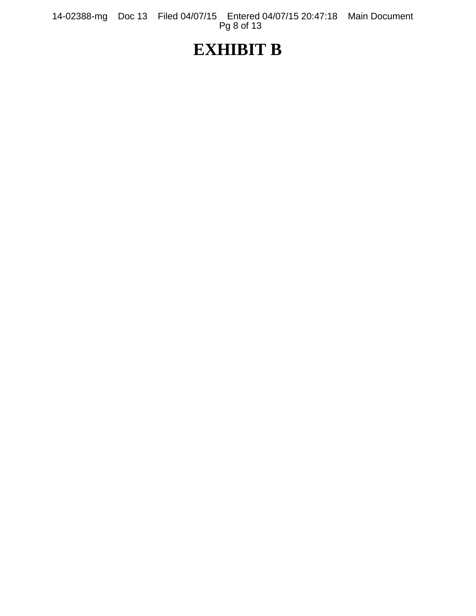14-02388-mg Doc 13 Filed 04/07/15 Entered 04/07/15 20:47:18 Main Document Pg 8 of 13

# **EXHIBIT B**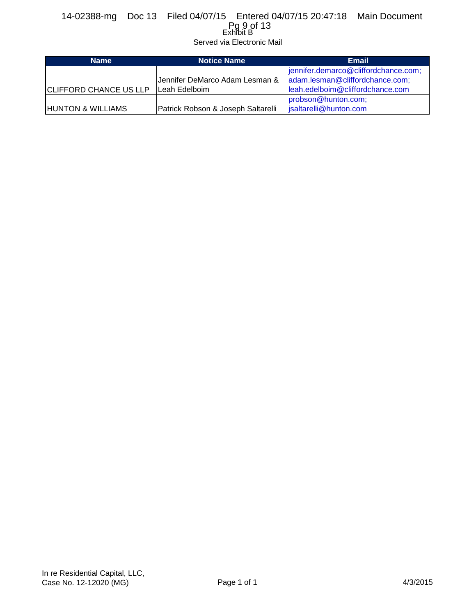## Exhibit B 14-02388-mg Doc 13 Filed 04/07/15 Entered 04/07/15 20:47:18 Main Document Pg 9 of 13

Served via Electronic Mail

| <b>Name</b>                   | <b>Notice Name</b>                 | <b>Email</b>                         |  |  |
|-------------------------------|------------------------------------|--------------------------------------|--|--|
|                               |                                    | jennifer.demarco@cliffordchance.com; |  |  |
|                               | Jennifer DeMarco Adam Lesman &     | adam.lesman@cliffordchance.com;      |  |  |
| <b>CLIFFORD CHANCE US LLP</b> | Leah Edelboim                      | leah.edelboim@cliffordchance.com     |  |  |
|                               |                                    | probson@hunton.com;                  |  |  |
| <b>HUNTON &amp; WILLIAMS</b>  | Patrick Robson & Joseph Saltarelli | isaltarelli@hunton.com               |  |  |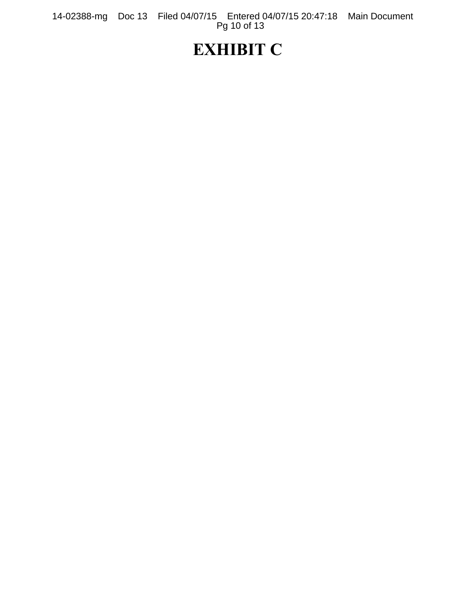14-02388-mg Doc 13 Filed 04/07/15 Entered 04/07/15 20:47:18 Main Document Pg 10 of 13

# **EXHIBIT C**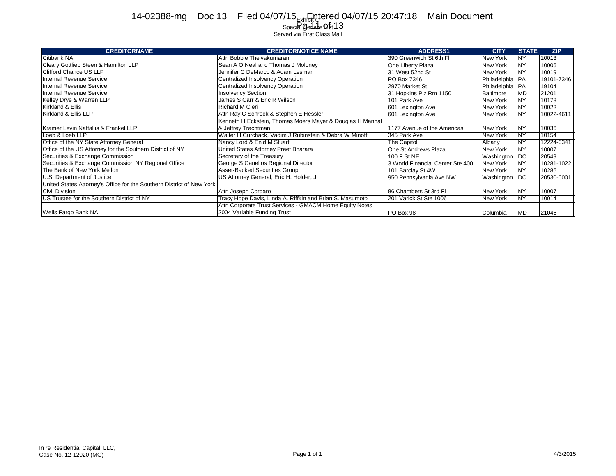#### Exhibit C 14-02388-mg Doc 13 Filed 04/07/15 Explored 04/07/15 20:47:18 Main Document

#### Spec**ial G**enLuidee **Uis**t Served via First Class Mail  $_{\rm ec}$ a Ge $13$

| <b>CREDITORNAME</b>                                                   | <b>CREDITORNOTICE NAME</b>                                | <b>ADDRESS1</b>                  | <b>CITY</b>       | <b>STATE</b> | <b>ZIP</b> |
|-----------------------------------------------------------------------|-----------------------------------------------------------|----------------------------------|-------------------|--------------|------------|
| Citibank NA                                                           | Attn Bobbie Theivakumaran                                 | 390 Greenwich St 6th Fl          | New York          | NY           | 10013      |
| Cleary Gottlieb Steen & Hamilton LLP                                  | Sean A O Neal and Thomas J Moloney                        | One Liberty Plaza                | New York          | <b>NY</b>    | 10006      |
| Clifford Chance US LLP                                                | Jennifer C DeMarco & Adam Lesman                          | 31 West 52nd St                  | New York          | <b>NY</b>    | 10019      |
| Internal Revenue Service                                              | Centralized Insolvency Operation                          | PO Box 7346                      | Philadelphia   PA |              | 19101-7346 |
| Internal Revenue Service                                              | Centralized Insolvency Operation                          | 2970 Market St                   | Philadelphia   PA |              | 19104      |
| Internal Revenue Service                                              | <b>Insolvency Section</b>                                 | 31 Hopkins Plz Rm 1150           | Baltimore         | <b>MD</b>    | 21201      |
| Kelley Drye & Warren LLP                                              | James S Carr & Eric R Wilson                              | 101 Park Ave                     | New York          | <b>NY</b>    | 10178      |
| Kirkland & Ellis                                                      | <b>Richard M Cieri</b>                                    | 601 Lexington Ave                | New York          | NY           | 10022      |
| Kirkland & Ellis LLP                                                  | Attn Ray C Schrock & Stephen E Hessler                    | 601 Lexington Ave                | New York          | <b>NY</b>    | 10022-4611 |
|                                                                       | Kenneth H Eckstein, Thomas Moers Mayer & Douglas H Mannal |                                  |                   |              |            |
| Kramer Levin Naftallis & Frankel LLP                                  | & Jeffrey Trachtman                                       | 1177 Avenue of the Americas      | New York          | <b>INY</b>   | 10036      |
| Loeb & Loeb LLP                                                       | Walter H Curchack, Vadim J Rubinstein & Debra W Minoff    | 345 Park Ave                     | New York          | <b>NY</b>    | 10154      |
| Office of the NY State Attorney General                               | Nancy Lord & Enid M Stuart                                | The Capitol                      | Albany            | <b>NY</b>    | 12224-0341 |
| Office of the US Attorney for the Southern District of NY             | United States Attorney Preet Bharara                      | One St Andrews Plaza             | New York          | <b>NY</b>    | 10007      |
| Securities & Exchange Commission                                      | Secretary of the Treasury                                 | 100 F St NE                      | Washington        | <b>DC</b>    | 20549      |
| Securities & Exchange Commission NY Regional Office                   | George S Canellos Regional Director                       | 3 World Financial Center Ste 400 | New York          | <b>NY</b>    | 10281-1022 |
| The Bank of New York Mellon                                           | Asset-Backed Securities Group                             | 101 Barclay St 4W                | New York          | <b>NY</b>    | 10286      |
| U.S. Department of Justice                                            | US Attorney General, Eric H. Holder, Jr.                  | 950 Pennsylvania Ave NW          | Washington        | <b>IDC</b>   | 20530-0001 |
| United States Attorney's Office for the Southern District of New York |                                                           |                                  |                   |              |            |
| Civil Division                                                        | Attn Joseph Cordaro                                       | 86 Chambers St 3rd Fl            | New York          | NY           | 10007      |
| US Trustee for the Southern District of NY                            | Tracy Hope Davis, Linda A. Riffkin and Brian S. Masumoto  | 201 Varick St Ste 1006           | New York          | <b>NY</b>    | 10014      |
|                                                                       | Attn Corporate Trust Services - GMACM Home Equity Notes   |                                  |                   |              |            |
| Wells Fargo Bank NA                                                   | 2004 Variable Funding Trust                               | PO Box 98                        | Columbia          | <b>MD</b>    | 21046      |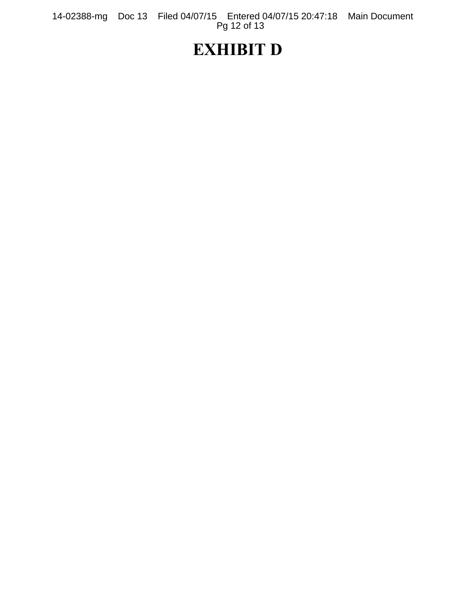14-02388-mg Doc 13 Filed 04/07/15 Entered 04/07/15 20:47:18 Main Document Pg 12 of 13

# **EXHIBIT D**